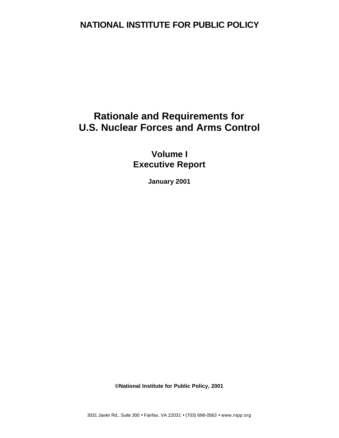# **NATIONAL INSTITUTE FOR PUBLIC POLICY**

# **Rationale and Requirements for U.S. Nuclear Forces and Arms Control**

**Volume I Executive Report**

**January 2001**

**©National Institute for Public Policy, 2001**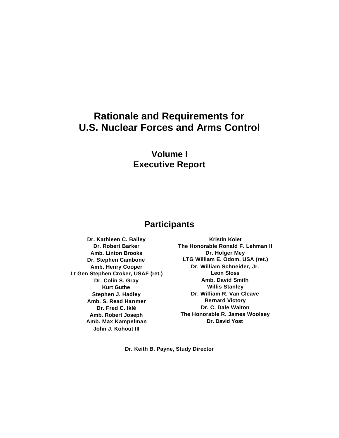# **Rationale and Requirements for U.S. Nuclear Forces and Arms Control**

# **Volume I Executive Report**

# **Participants**

**Dr. Kathleen C. Bailey Dr. Robert Barker Amb. Linton Brooks Dr. Stephen Cambone Amb. Henry Cooper Lt Gen Stephen Croker, USAF (ret.) Dr. Colin S. Gray Kurt Guthe Stephen J. Hadley Amb. S. Read Hanmer Dr. Fred C. Iklé Amb. Robert Joseph Amb. Max Kampelman John J. Kohout III**

**Kristin Kolet The Honorable Ronald F. Lehman II Dr. Holger Mey LTG William E. Odom, USA (ret.) Dr. William Schneider, Jr. Leon Sloss Amb. David Smith Willis Stanley Dr. William R. Van Cleave Bernard Victory Dr. C. Dale Walton The Honorable R. James Woolsey Dr. David Yost**

**Dr. Keith B. Payne, Study Director**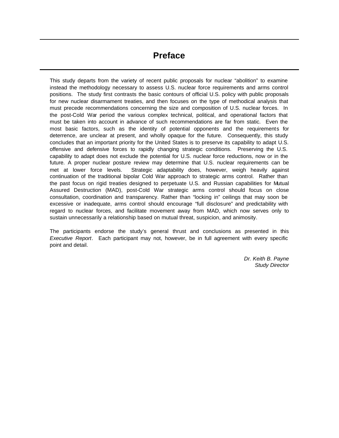# **Preface**

This study departs from the variety of recent public proposals for nuclear "abolition" to examine instead the methodology necessary to assess U.S. nuclear force requirements and arms control positions. The study first contrasts the basic contours of official U.S. policy with public proposals for new nuclear disarmament treaties, and then focuses on the type of methodical analysis that must precede recommendations concerning the size and composition of U.S. nuclear forces. In the post-Cold War period the various complex technical, political, and operational factors that must be taken into account in advance of such recommendations are far from static. Even the most basic factors, such as the identity of potential opponents and the requirements for deterrence, are unclear at present, and wholly opaque for the future. Consequently, this study concludes that an important priority for the United States is to preserve its capability to adapt U.S. offensive and defensive forces to rapidly changing strategic conditions. Preserving the U.S. capability to adapt does not exclude the potential for U.S. nuclear force reductions, now or in the future. A proper nuclear posture review may determine that U.S. nuclear requirements can be met at lower force levels. Strategic adaptability does, however, weigh heavily against continuation of the traditional bipolar Cold War approach to strategic arms control. Rather than the past focus on rigid treaties designed to perpetuate U.S. and Russian capabilities for Mutual Assured Destruction (MAD), post-Cold War strategic arms control should focus on close consultation, coordination and transparency. Rather than "locking in" ceilings that may soon be excessive or inadequate, arms control should encourage "full disclosure" and predictability with regard to nuclear forces, and facilitate movement away from MAD, which now serves only to sustain unnecessarily a relationship based on mutual threat, suspicion, and animosity.

The participants endorse the study's general thrust and conclusions as presented in this *Executive Report*. Each participant may not, however, be in full agreement with every specific point and detail.

> *Dr. Keith B. Payne Study Director*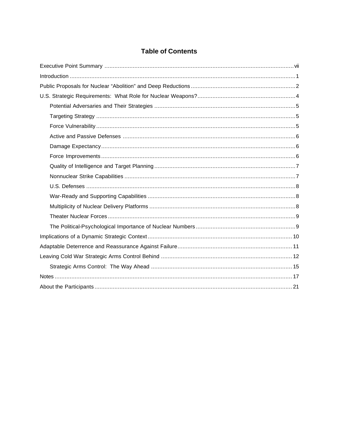## **Table of Contents**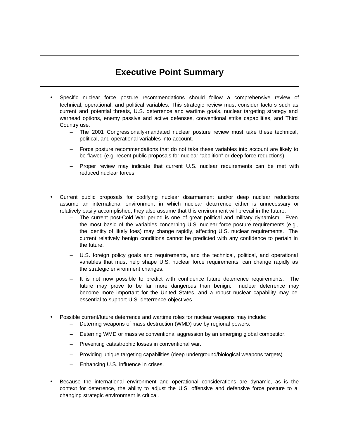# **Executive Point Summary**

- Specific nuclear force posture recommendations should follow a comprehensive review of technical, operational, and political variables. This strategic review must consider factors such as current and potential threats, U.S. deterrence and wartime goals, nuclear targeting strategy and warhead options, enemy passive and active defenses, conventional strike capabilities, and Third Country use.
	- The 2001 Congressionally-mandated nuclear posture review must take these technical, political, and operational variables into account.
	- Force posture recommendations that do not take these variables into account are likely to be flawed (e.g. recent public proposals for nuclear "abolition" or deep force reductions).
	- Proper review may indicate that current U.S. nuclear requirements can be met with reduced nuclear forces.
- Current public proposals for codifying nuclear disarmament and/or deep nuclear reductions assume an international environment in which nuclear deterrence either is unnecessary or relatively easily accomplished; they also assume that this environment will prevail in the future.
	- The current post-Cold War period is one of great political and military dynamism. Even the most basic of the variables concerning U.S. nuclear force posture requirements (e.g., the identity of likely foes) may change rapidly, affecting U.S. nuclear requirements. The current relatively benign conditions cannot be predicted with any confidence to pertain in the future.
	- U.S. foreign policy goals and requirements, and the technical, political, and operational variables that must help shape U.S. nuclear force requirements, can change rapidly as the strategic environment changes.
	- It is not now possible to predict with confidence future deterrence requirements. The future may prove to be far more dangerous than benign: nuclear deterrence may become more important for the United States, and a robust nuclear capability may be essential to support U.S. deterrence objectives.
- Possible current/future deterrence and wartime roles for nuclear weapons may include:
	- Deterring weapons of mass destruction (WMD) use by regional powers.
	- Deterring WMD or massive conventional aggression by an emerging global competitor.
	- Preventing catastrophic losses in conventional war.
	- Providing unique targeting capabilities (deep underground/biological weapons targets).
	- Enhancing U.S. influence in crises.
- Because the international environment and operational considerations are dynamic, as is the context for deterrence, the ability to adjust the U.S. offensive and defensive force posture to a changing strategic environment is critical.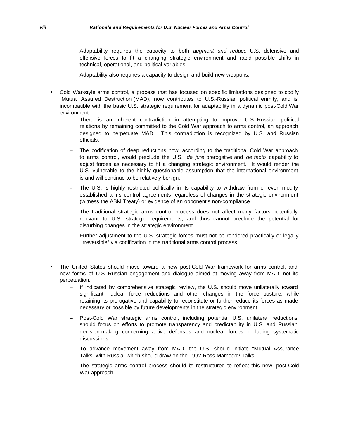- Adaptability requires the capacity to both *augment and reduce* U.S. defensive and offensive forces to fit a changing strategic environment and rapid possible shifts in technical, operational, and political variables.
- Adaptability also requires a capacity to design and build new weapons.
- Cold War-style arms control, a process that has focused on specific limitations designed to codify "Mutual Assured Destruction"(MAD), now contributes to U.S.-Russian political enmity, and is incompatible with the basic U.S. strategic requirement for adaptability in a dynamic post-Cold War environment.
	- There is an inherent contradiction in attempting to improve U.S.-Russian political relations by remaining committed to the Cold War approach to arms control, an approach designed to perpetuate MAD. This contradiction is recognized by U.S. and Russian officials.
	- The codification of deep reductions now, according to the traditional Cold War approach to arms control, would preclude the U.S. *de jure* prerogative and *de facto* capability to adjust forces as necessary to fit a changing strategic environment. It would render the U.S. vulnerable to the highly questionable assumption that the international environment is and will continue to be relatively benign.
	- The U.S. is highly restricted politically in its capability to withdraw from or even modify established arms control agreements regardless of changes in the strategic environment (witness the ABM Treaty) or evidence of an opponent's non-compliance.
	- The traditional strategic arms control process does not affect many factors potentially relevant to U.S. strategic requirements, and thus cannot preclude the potential for disturbing changes in the strategic environment.
	- Further adjustment to the U.S. strategic forces must not be rendered practically or legally "irreversible" via codification in the traditional arms control process.
- The United States should move toward a new post-Cold War framework for arms control, and new forms of U.S.-Russian engagement and dialogue aimed at moving away from MAD, not its perpetuation.
	- If indicated by comprehensive strategic revi ew, the U.S. should move unilaterally toward significant nuclear force reductions and other changes in the force posture, while retaining its prerogative and capability to reconstitute or further reduce its forces as made necessary or possible by future developments in the strategic environment.
	- Post-Cold War strategic arms control, including potential U.S. unilateral reductions, should focus on efforts to promote transparency and predictability in U.S. and Russian decision-making concerning active defenses and nuclear forces, including systematic discussions.
	- To advance movement away from MAD, the U.S. should initiate "Mutual Assurance Talks" with Russia, which should draw on the 1992 Ross-Mamedov Talks.
	- The strategic arms control process should be restructured to reflect this new, post-Cold War approach.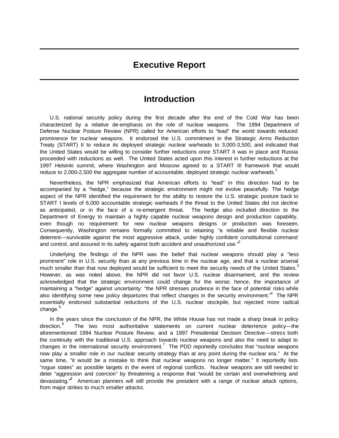## **Executive Report**

# **Introduction**

U.S. national security policy during the first decade after the end of the Cold War has been characterized by a relative de-emphasis on the role of nuclear weapons. The 1994 Department of Defense Nuclear Posture Review (NPR) called for American efforts to "lead" the world towards reduced prominence for nuclear weapons. It endorsed the U.S. commitment in the Strategic Arms Reduction Treaty (START) II to reduce its deployed strategic nuclear warheads to 3,000-3,500, and indicated that the United States would be willing to consider further reductions once START II was in place and Russia proceeded with reductions as well. The United States acted upon this interest in further reductions at the 1997 Helsinki summit, where Washington and Moscow agreed to a START III framework that would reduce to 2,000-2,500 the aggregate number of accountable, deployed strategic nuclear warheads.<sup>1</sup>

Nevertheless, the NPR emphasized that American efforts to "lead" in this direction had to be accompanied by a "hedge," because the strategic environment might not evolve peacefully. The hedge aspect of the NPR identified the requirement for the ability to restore the U.S. strategic posture back to START I levels of 6,000 accountable strategic warheads if the threat to the United States did not decline as anticipated, or in the face of a re-emergent threat. The hedge also included direction to the Department of Energy to maintain a highly capable nuclear weapons design and production capability, even though no requirement for new nuclear weapons designs or production was foreseen. Consequently, Washington remains formally committed to retaining "a reliable and flexible nuclear deterrent—survivable against the most aggressive attack, under highly confident constitutional command and control, and assured in its safety against both accident and unauthorized use. $<sup>2</sup>$ </sup>

Underlying the findings of the NPR was the belief that nuclear weapons should play a "less prominent" role in U.S. security than at any previous time in the nuclear age, and that a nuclear arsenal much smaller than that now deployed would be sufficient to meet the security needs of the United States.<sup>3</sup> However, as was noted above, the NPR did not favor U.S. nuclear disarmament, and the review acknowledged that the strategic environment could change for the worse; hence, the importance of maintaining a "hedge" against uncertainty: "the NPR stresses prudence in the face of potential risks while also identifying some new policy departures that reflect changes in the security environment." The NPR essentially endorsed substantial reductions of the U.S. nuclear stockpile, but rejected more radical change. $^5$ 

In the years since the conclusion of the NPR, the White House has not made a sharp break in policy direction.<sup>6</sup> The two most authoritative statements on current nuclear deterrence policy—the aforementioned 1994 Nuclear Posture Review, and a 1997 Presidential Decision Directive—stress both the continuity with the traditional U.S. approach towards nuclear weapons and also the need to adapt to changes in the international security environment.<sup>7</sup> The PDD reportedly concludes that "nuclear weapons now play a smaller role in our nuclear security strategy than at any point during the nuclear era." At the same time, "it would be a mistake to think that nuclear weapons no longer matter." It reportedly lists "rogue states" as possible targets in the event of regional conflicts. Nuclear weapons are still needed to deter "aggression and coercion" by threatening a response that "would be certain and overwhelming and devastating."<sup>8</sup> American planners will still provide the president with a range of nuclear attack options, from major strikes to much smaller attacks.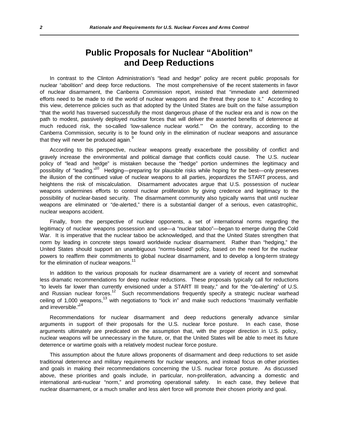# **Public Proposals for Nuclear "Abolition" and Deep Reductions**

In contrast to the Clinton Administration's "lead and hedge" policy are recent public proposals for nuclear "abolition" and deep force reductions. The most comprehensive of the recent statements in favor of nuclear disarmament, the Canberra Commission report, insisted that "immediate and determined efforts need to be made to rid the world of nuclear weapons and the threat they pose to it." According to this view, deterrence policies such as that adopted by the United States are built on the false assumption "that the world has traversed successfully the most dangerous phase of the nuclear era and is now on the path to modest, passively deployed nuclear forces that will deliver the asserted benefits of deterrence at much reduced risk, the so-called 'low-salience nuclear world.'" On the contrary, according to the Canberra Commission, security is to be found only in the elimination of nuclear weapons and assurance that they will never be produced again.<sup>9</sup>

According to this perspective, nuclear weapons greatly exacerbate the possibility of conflict and gravely increase the environmental and political damage that conflicts could cause. The U.S. nuclear policy of "lead and hedge" is mistaken because the "hedge" portion undermines the legitimacy and possibility of "leading."<sup>10</sup> Hedging—preparing for plausible risks while hoping for the best—only preserves the illusion of the continued value of nuclear weapons to all parties, jeopardizes the START process, and heightens the risk of miscalculation. Disarmament advocates argue that U.S. possession of nuclear weapons undermines efforts to control nuclear proliferation by giving credence and legitimacy to the possibility of nuclear-based security. The disarmament community also typically warns that until nuclear weapons are eliminated or "de-alerted," there is a substantial danger of a serious, even catastrophic, nuclear weapons accident.

Finally, from the perspective of nuclear opponents, a set of international norms regarding the legitimacy of nuclear weapons possession and use—a "nuclear taboo"—began to emerge during the Cold War. It is imperative that the nuclear taboo be acknowledged, and that the United States strengthen that norm by leading in concrete steps toward worldwide nuclear disarmament. Rather than "hedging," the United States should support an unambiguous "norms-based" policy, based on the need for the nuclear powers to reaffirm their commitments to global nuclear disarmament, and to develop a long-term strategy for the elimination of nuclear weapons.<sup>11</sup>

In addition to the various proposals for nuclear disarmament are a variety of recent and somewhat less dramatic recommendations for deep nuclear reductions. These proposals typically call for reductions "to levels far lower than currently envisioned under a START III treaty," and for the "de-alerting" of U.S. and Russian nuclear forces.<sup>12</sup> Such recommendations frequently specify a strategic nuclear warhead ceiling of 1,000 weapons,<sup>13</sup> with negotiations to "lock in" and make such reductions "maximally verifiable and irreversible."<sup>14</sup>

Recommendations for nuclear disarmament and deep reductions generally advance similar arguments in support of their proposals for the U.S. nuclear force posture. In each case, those arguments ultimately are predicated on the assumption that, with the proper direction in U.S. policy, nuclear weapons will be unnecessary in the future, or, that the United States will be able to meet its future deterrence or wartime goals with a relatively modest nuclear force posture.

This assumption about the future allows proponents of disarmament and deep reductions to set aside traditional deterrence and military requirements for nuclear weapons, and instead focus on other priorities and goals in making their recommendations concerning the U.S. nuclear force posture. As discussed above, these priorities and goals include, in particular, non-proliferation, advancing a domestic and international anti-nuclear "norm," and promoting operational safety. In each case, they believe that nuclear disarmament, or a much smaller and less alert force will promote their chosen priority and goal.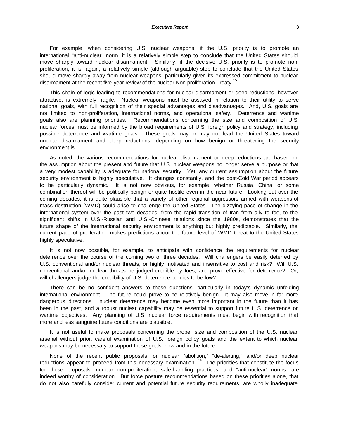For example, when considering U.S. nuclear weapons, if the U.S. priority is to promote an international "anti-nuclear" norm, it is a relatively simple step to conclude that the United States should move sharply toward nuclear disarmament. Similarly, if the decisive U.S. priority is to promote nonproliferation, it is, again, a relatively simple (although arguable) step to conclude that the United States should move sharply away from nuclear weapons, particularly given its expressed commitment to nuclear disarmament at the recent five-year review of the nuclear Non-proliferation Treaty.<sup>15</sup>

This chain of logic leading to recommendations for nuclear disarmament or deep reductions, however attractive, is extremely fragile. Nuclear weapons must be assayed in relation to their utility to serve national goals, with full recognition of their special advantages and disadvantages. And, U.S. goals are not limited to non-proliferation, international norms, and operational safety. Deterrence and wartime goals also are planning priorities. Recommendations concerning the size and composition of U.S. nuclear forces must be informed by the broad requirements of U.S. foreign policy and strategy, including possible deterrence and wartime goals. These goals may or may not lead the United States toward nuclear disarmament and deep reductions, depending on how benign or threatening the security environment is.

As noted, the various recommendations for nuclear disarmament or deep reductions are based on the assumption about the present and future that U.S. nuclear weapons no longer serve a purpose or that a very modest capability is adequate for national security. Yet, any current assumption about the future security environment is highly speculative. It changes constantly, and the post-Cold War period appears to be particularly dynamic. It is not now obvious, for example, whether Russia, China, or some combination thereof will be politically benign or quite hostile even in the near future. Looking out over the coming decades, it is quite plausible that a variety of other regional aggressors armed with weapons of mass destruction (WMD) could arise to challenge the United States. The dizzying pace of change in the international system over the past two decades, from the rapid transition of Iran from ally to foe, to the significant shifts in U.S.-Russian and U.S.-Chinese relations since the 1980s, demonstrates that the future shape of the international security environment is anything but highly predictable. Similarly, the current pace of proliferation makes predictions about the future level of WMD threat to the United States highly speculative.

It is not now possible, for example, to anticipate with confidence the requirements for nuclear deterrence over the course of the coming two or three decades. Will challengers be easily deterred by U.S. conventional and/or nuclear threats, or highly motivated and insensitive to cost and risk? Will U.S. conventional and/or nuclear threats be judged credible by foes, and prove effective for deterrence? Or, will challengers judge the credibility of U.S. deterrence policies to be low?

There can be no confident answers to these questions, particularly in today's dynamic unfolding international environment. The future could prove to be relatively benign. It may also move in far more dangerous directions: nuclear deterrence may become even more important in the future than it has been in the past, and a robust nuclear capability may be essential to support future U.S. deterrence or wartime objectives. Any planning of U.S. nuclear force requirements must begin with recognition that more and less sanguine future conditions are plausible.

It is not useful to make proposals concerning the proper size and composition of the U.S. nuclear arsenal without prior, careful examination of U.S. foreign policy goals and the extent to which nuclear weapons may be necessary to support those goals, now and in the future.

None of the recent public proposals for nuclear "abolition," "de-alerting," and/or deep nuclear reductions appear to proceed from this necessary examination.<sup>16</sup> The priorities that constitute the focus for these proposals—nuclear non-proliferation, safe-handling practices, and "anti-nuclear" norms—are indeed worthy of consideration. But force posture recommendations based on these priorities alone, that do not also carefully consider current and potential future security requirements, are wholly inadequate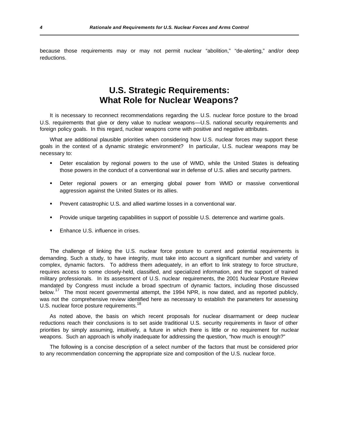because those requirements may or may not permit nuclear "abolition," "de-alerting," and/or deep reductions.

# **U.S. Strategic Requirements: What Role for Nuclear Weapons?**

It is necessary to reconnect recommendations regarding the U.S. nuclear force posture to the broad U.S. requirements that give or deny value to nuclear weapons—U.S. national security requirements and foreign policy goals. In this regard, nuclear weapons come with positive and negative attributes.

What are additional plausible priorities when considering how U.S. nuclear forces may support these goals in the context of a dynamic strategic environment? In particular, U.S. nuclear weapons may be necessary to:

- ß Deter escalation by regional powers to the use of WMD, while the United States is defeating those powers in the conduct of a conventional war in defense of U.S. allies and security partners.
- ß Deter regional powers or an emerging global power from WMD or massive conventional aggression against the United States or its allies.
- **•** Prevent catastrophic U.S. and allied wartime losses in a conventional war.
- ß Provide unique targeting capabilities in support of possible U.S. deterrence and wartime goals.
- ß Enhance U.S. influence in crises.

The challenge of linking the U.S. nuclear force posture to current and potential requirements is demanding. Such a study, to have integrity, must take into account a significant number and variety of complex, dynamic factors. To address them adequately, in an effort to link strategy to force structure, requires access to some closely-held, classified, and specialized information, and the support of trained military professionals. In its assessment of U.S. nuclear requirements, the 2001 Nuclear Posture Review mandated by Congress must include a broad spectrum of dynamic factors, including those discussed below.<sup>17</sup> The most recent governmental attempt, the 1994 NPR, is now dated, and as reported publicly, was not the comprehensive review identified here as necessary to establish the parameters for assessing U.S. nuclear force posture requirements.<sup>18</sup>

As noted above, the basis on which recent proposals for nuclear disarmament or deep nuclear reductions reach their conclusions is to set aside traditional U.S. security requirements in favor of other priorities by simply assuming, intuitively, a future in which there is little or no requirement for nuclear weapons. Such an approach is wholly inadequate for addressing the question, "how much is enough?"

The following is a concise description of a select number of the factors that must be considered prior to any recommendation concerning the appropriate size and composition of the U.S. nuclear force.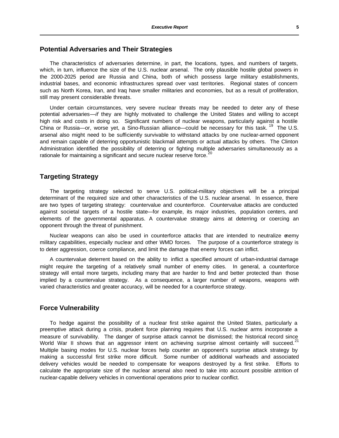### **Potential Adversaries and Their Strategies**

The characteristics of adversaries determine, in part, the locations, types, and numbers of targets, which, in turn, influence the size of the U.S. nuclear arsenal. The only plausible hostile global powers in the 2000-2025 period are Russia and China, both of which possess large military establishments, industrial bases, and economic infrastructures spread over vast territories. Regional states of concern such as North Korea, Iran, and Iraq have smaller militaries and economies, but as a result of proliferation, still may present considerable threats.

Under certain circumstances, very severe nuclear threats may be needed to deter any of these potential adversaries—*if* they are highly motivated to challenge the United States and willing to accept high risk and costs in doing so. Significant numbers of nuclear weapons, particularly against a hostile China or Russia—or, worse yet, a Sino-Russian alliance—could be necessary for this task.<sup>19</sup> The U.S. arsenal also might need to be sufficiently survivable to withstand attacks by one nuclear-armed opponent and remain capable of deterring opportunistic blackmail attempts or actual attacks by others. The Clinton Administration identified the possibility of deterring or fighting multiple adversaries simultaneously as a rationale for maintaining a significant and secure nuclear reserve force.<sup>2</sup>

## **Targeting Strategy**

The targeting strategy selected to serve U.S. political-military objectives will be a principal determinant of the required size and other characteristics of the U.S. nuclear arsenal. In essence, there are two types of targeting strategy: countervalue and counterforce. Countervalue attacks are conducted against societal targets of a hostile state—for example, its major industries, population centers, and elements of the governmental apparatus. A countervalue strategy aims at deterring or coercing an opponent through the threat of punishment.

Nuclear weapons can also be used in counterforce attacks that are intended to neutralize enemy military capabilities, especially nuclear and other WMD forces. The purpose of a counterforce strategy is to deter aggression, coerce compliance, and limit the damage that enemy forces can inflict.

A countervalue deterrent based on the ability to inflict a specified amount of urban-industrial damage might require the targeting of a relatively small number of enemy cities. In general, a counterforce strategy will entail more targets, including many that are harder to find and better protected than those implied by a countervalue strategy. As a consequence, a larger number of weapons, weapons with varied characteristics and greater accuracy, will be needed for a counterforce strategy.

### **Force Vulnerability**

To hedge against the possibility of a nuclear first strike against the United States, particularly a preemptive attack during a crisis, prudent force planning requires that U.S. nuclear arms incorporate a measure of survivability. The danger of surprise attack cannot be dismissed; the historical record since World War II shows that an aggressor intent on achieving surprise almost certainly will succeed.<sup>21</sup> Multiple basing modes for U.S. nuclear forces help counter an opponent's surprise attack strategy by making a successful first strike more difficult. Some number of additional warheads and associated delivery vehicles would be needed to compensate for weapons destroyed by a first strike. Efforts to calculate the appropriate size of the nuclear arsenal also need to take into account possible attrition of nuclear-capable delivery vehicles in conventional operations prior to nuclear conflict.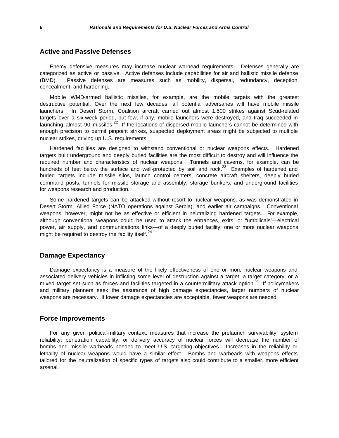## **Active and Passive Defenses**

Enemy defensive measures may increase nuclear warhead requirements. Defenses generally are categorized as active or passive. Active defenses include capabilities for air and ballistic missile defense (BMD). Passive defenses are measures such as mobility, dispersal, redundancy, deception, concealment, and hardening.

Mobile WMD-armed ballistic missiles, for example, are the mobile targets with the greatest destructive potential. Over the next few decades, all potential adversaries will have mobile missile launchers. In Desert Storm, Coalition aircraft carried out almost 1,500 strikes against Scud-related targets over a six-week period, but few, if any, mobile launchers were destroyed, and Iraq succeeded in launching almost 90 missiles.<sup>22</sup> If the locations of dispersed mobile launchers cannot be determined with enough precision to permit pinpoint strikes, suspected deployment areas might be subjected to multiple nuclear strikes, driving up U.S. requirements.

Hardened facilities are designed to withstand conventional or nuclear weapons effects. Hardened targets built underground and deeply buried facilities are the most difficult to destroy and will influence the required number and characteristics of nuclear weapons. Tunnels and caverns, for example, can be hundreds of feet below the surface and well-protected by soil and rock. $^{23}$  Examples of hardened and buried targets include missile silos, launch control centers, concrete aircraft shelters, deeply buried command posts, tunnels for missile storage and assembly, storage bunkers, and underground facilities for weapons research and production.

Some hardened targets can be attacked without resort to nuclear weapons, as was demonstrated in Desert Storm, Allied Force (NATO operations against Serbia), and earlier air campaigns. Conventional weapons, however, might not be as effective or efficient in neutralizing hardened targets. For example, although conventional weapons could be used to attack the entrances, exits, or "umbilicals"—electrical power, air supply, and communications links—of a deeply buried facility, one or more nuclear weapons might be required to destroy the facility itself. $24$ 

### **Damage Expectancy**

Damage expectancy is a measure of the likely effectiveness of one or more nuclear weapons and associated delivery vehicles in inflicting some level of destruction against a target, a target category, or a mixed target set such as forces and facilities targeted in a countermilitary attack option.<sup>25</sup> If policymakers and military planners seek the assurance of high damage expectancies, larger numbers of nuclear weapons are necessary. If lower damage expectancies are acceptable, fewer weapons are needed.

#### **Force Improvements**

For any given political-military context, measures that increase the prelaunch survivability, system reliability, penetration capability, or delivery accuracy of nuclear forces will decrease the number of bombs and missile warheads needed to meet U.S. targeting objectives. Increases in the reliability or lethality of nuclear weapons would have a similar effect. Bombs and warheads with weapons effects tailored for the neutralization of specific types of targets also could contribute to a smaller, more efficient arsenal.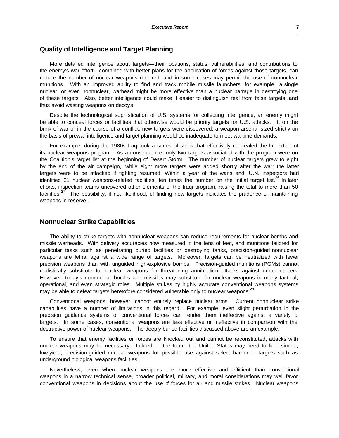## **Quality of Intelligence and Target Planning**

More detailed intelligence about targets—their locations, status, vulnerabilities, and contributions to the enemy's war effort—combined with better plans for the application of forces against those targets, can reduce the number of nuclear weapons required, and in some cases may permit the use of nonnuclear munitions. With an improved ability to find and track mobile missile launchers, for example, a single nuclear, or even nonnuclear, warhead might be more effective than a nuclear barrage in destroying one of these targets. Also, better intelligence could make it easier to distinguish real from false targets, and thus avoid wasting weapons on decoys.

Despite the technological sophistication of U.S. systems for collecting intelligence, an enemy might be able to conceal forces or facilities that otherwise would be priority targets for U.S. attacks. If, on the brink of war or in the course of a conflict, new targets were discovered, a weapon arsenal sized strictly on the basis of prewar intelligence and target planning would be inadequate to meet wartime demands.

For example, during the 1980s Iraq took a series of steps that effectively concealed the full extent of its nuclear weapons program. As a consequence, only two targets associated with the program were on the Coalition's target list at the beginning of Desert Storm. The number of nuclear targets grew to eight by the end of the air campaign, while eight more targets were added shortly after the war; the latter targets were to be attacked if fighting resumed. Within a year of the war's end, U.N. inspectors had identified 21 nuclear weapons-related facilities, ten times the number on the initial target list.<sup>26</sup> In later efforts, inspection teams uncovered other elements of the Iraqi program, raising the total to more than 50 facilities.<sup>27</sup> The possibility, if not likelihood, of finding new targets indicates the prudence of maintaining weapons in reserve.

## **Nonnuclear Strike Capabilities**

The ability to strike targets with nonnuclear weapons can reduce requirements for nuclear bombs and missile warheads. With delivery accuracies now measured in the tens of feet, and munitions tailored for particular tasks such as penetrating buried facilities or destroying tanks, precision-guided nonnuclear weapons are lethal against a wide range of targets. Moreover, targets can be neutralized with fewer precision weapons than with unguided high-explosive bombs. Precision-guided munitions (PGMs) cannot realistically substitute for nuclear weapons for threatening annihilation attacks against urban centers. However, today's nonnuclear bombs and missiles may substitute for nuclear weapons in many tactical, operational, and even strategic roles. Multiple strikes by highly accurate conventional weapons systems may be able to defeat targets heretofore considered vulnerable only to nuclear weapons.<sup>28</sup>

Conventional weapons, however, cannot entirely replace nuclear arms. Current nonnuclear strike capabilities have a number of limitations in this regard. For example, even slight perturbation in the precision guidance systems of conventional forces can render them ineffective against a variety of targets. In some cases, conventional weapons are less effective or ineffective in comparison with the destructive power of nuclear weapons. The deeply buried facilities discussed above are an example.

To ensure that enemy facilities or forces are knocked out and cannot be reconstituted, attacks with nuclear weapons may be necessary. Indeed, in the future the United States may need to field simple, low-yield, precision-guided nuclear weapons for possible use against select hardened targets such as underground biological weapons facilities.

Nevertheless, even when nuclear weapons are more effective and efficient than conventional weapons in a narrow technical sense, broader political, military, and moral considerations may well favor conventional weapons in decisions about the use of forces for air and missile strikes. Nuclear weapons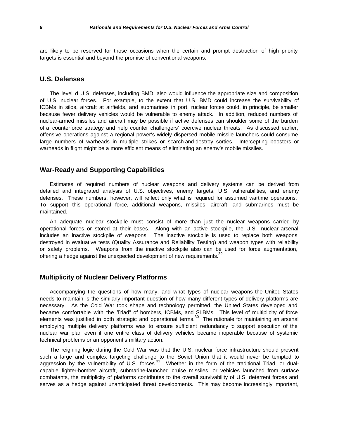are likely to be reserved for those occasions when the certain and prompt destruction of high priority targets is essential and beyond the promise of conventional weapons.

## **U.S. Defenses**

The level of U.S. defenses, including BMD, also would influence the appropriate size and composition of U.S. nuclear forces. For example, to the extent that U.S. BMD could increase the survivability of ICBMs in silos, aircraft at airfields, and submarines in port, nuclear forces could, in principle, be smaller because fewer delivery vehicles would be vulnerable to enemy attack. In addition, reduced numbers of nuclear-armed missiles and aircraft may be possible if active defenses can shoulder some of the burden of a counterforce strategy and help counter challengers' coercive nuclear threats. As discussed earlier, offensive operations against a regional power's widely dispersed mobile missile launchers could consume large numbers of warheads in multiple strikes or search-and-destroy sorties. Intercepting boosters or warheads in flight might be a more efficient means of eliminating an enemy's mobile missiles.

## **War-Ready and Supporting Capabilities**

Estimates of required numbers of nuclear weapons and delivery systems can be derived from detailed and integrated analysis of U.S. objectives, enemy targets, U.S. vulnerabilities, and enemy defenses. These numbers, however, will reflect only what is required for assumed wartime operations. To support this operational force, additional weapons, missiles, aircraft, and submarines must be maintained.

An adequate nuclear stockpile must consist of more than just the nuclear weapons carried by operational forces or stored at their bases. Along with an active stockpile, the U.S. nuclear arsenal includes an inactive stockpile of weapons. The inactive stockpile is used to replace both weapons destroyed in evaluative tests (Quality Assurance and Reliability Testing) and weapon types with reliability or safety problems. Weapons from the inactive stockpile also can be used for force augmentation, offering a hedge against the unexpected development of new requirements.<sup>29</sup>

### **Multiplicity of Nuclear Delivery Platforms**

Accompanying the questions of how many, and what types of nuclear weapons the United States needs to maintain is the similarly important question of how many different types of delivery platforms are necessary. As the Cold War took shape and technology permitted, the United States developed and became comfortable with the "Triad" of bombers, ICBMs, and SLBMs. This level of multiplicity of force elements was justified in both strategic and operational terms.<sup>30</sup> The rationale for maintaining an arsenal employing multiple delivery platforms was to ensure sufficient redundancy to support execution of the nuclear war plan even if one entire class of delivery vehicles became inoperable because of systemic technical problems or an opponent's military action.

The reigning logic during the Cold War was that the U.S. nuclear force infrastructure should present such a large and complex targeting challenge to the Soviet Union that it would never be tempted to aggression by the vulnerability of U.S. forces.<sup>31</sup> Whether in the form of the traditional Triad, or dualcapable fighter-bomber aircraft, submarine-launched cruise missiles, or vehicles launched from surface combatants, the multiplicity of platforms contributes to the overall survivability of U.S. deterrent forces and serves as a hedge against unanticipated threat developments. This may become increasingly important,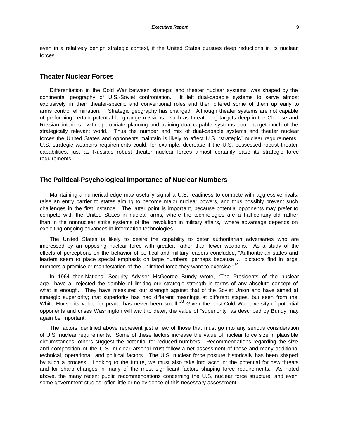even in a relatively benign strategic context, if the United States pursues deep reductions in its nuclear forces.

## **Theater Nuclear Forces**

Differentiation in the Cold War between strategic and theater nuclear systems was shaped by the continental geography of U.S.-Soviet confrontation. It left dual-capable systems to serve almost exclusively in their theater-specific and conventional roles and then offered some of them up early to arms control elimination. Strategic geography has changed. Although theater systems are not capable of performing certain potential long-range missions—such as threatening targets deep in the Chinese and Russian interiors—with appropriate planning and training dual-capable systems could target much of the strategically relevant world. Thus the number and mix of dual-capable systems and theater nuclear forces the United States and opponents maintain is likely to affect U.S. "strategic" nuclear requirements. U.S. strategic weapons requirements could, for example, decrease if the U.S. possessed robust theater capabilities, just as Russia's robust theater nuclear forces almost certainly ease its strategic force requirements.

### **The Political-Psychological Importance of Nuclear Numbers**

Maintaining a numerical edge may usefully signal a U.S. readiness to compete with aggressive rivals, raise an entry barrier to states aiming to become major nuclear powers, and thus possibly prevent such challenges in the first instance. The latter point is important, because potential opponents may prefer to compete with the United States in nuclear arms, where the technologies are a half-century old, rather than in the nonnuclear strike systems of the "revolution in military affairs," where advantage depends on exploiting ongoing advances in information technologies.

The United States is likely to desire the capability to deter authoritarian adversaries who are impressed by an opposing nuclear force with greater, rather than fewer weapons. As a study of the effects of perceptions on the behavior of political and military leaders concluded, "Authoritarian states and leaders seem to place special emphasis on large numbers, perhaps because … dictators find in large numbers a promise or manifestation of the unlimited force they want to exercise." $^{32}$ 

In 1964 then-National Security Adviser McGeorge Bundy wrote, "The Presidents of the nuclear age…have all rejected the gamble of limiting our strategic strength in terms of any absolute concept of what is enough. They have measured our strength against that of the Soviet Union and have aimed at strategic superiority; that superiority has had different meanings at different stages, but seen from the White House its value for peace has never been small."<sup>33</sup> Given the post-Cold War diversity of potential opponents and crises Washington will want to deter, the value of "superiority" as described by Bundy may again be important.

The factors identified above represent just a few of those that must go into any serious consideration of U.S. nuclear requirements. Some of these factors increase the value of nuclear force size in plausible circumstances; others suggest the potential for reduced numbers. Recommendations regarding the size and composition of the U.S. nuclear arsenal must follow a net assessment of these and many additional technical, operational, and political factors. The U.S. nuclear force posture historically has been shaped by such a process. Looking to the future, we must also take into account the potential for new threats and for sharp changes in many of the most significant factors shaping force requirements. As noted above, the many recent public recommendations concerning the U.S. nuclear force structure, and even some government studies, offer little or no evidence of this necessary assessment.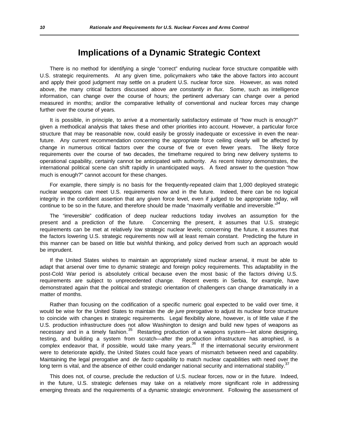## **Implications of a Dynamic Strategic Context**

There is no method for identifying a single "correct" enduring nuclear force structure compatible with U.S. strategic requirements. At any given time, policymakers who take the above factors into account and apply their good judgment may settle on a prudent U.S. nuclear force size. However, as was noted above, the many critical factors discussed above *are constantly in flux*. Some, such as intelligence information, can change over the course of hours; the pertinent adversary can change over a period measured in months; and/or the comparative lethality of conventional and nuclear forces may change further over the course of years.

It is possible, in principle, to arrive at a momentarily satisfactory estimate of "how much is enough?" given a methodical analysis that takes these and other priorities into account. However, a particular force structure that may be reasonable now, could easily be grossly inadequate or excessive in even the nearfuture. Any current recommendation concerning the appropriate force ceiling clearly will be affected by change in numerous critical factors over the course of five or even fewer years. The likely force requirements over the course of two decades, the timeframe required to bring new delivery systems to operational capability, certainly cannot be anticipated with authority. As recent history demonstrates, the international political scene can shift rapidly in unanticipated ways. A fixed answer to the question "how much is enough?" cannot account for these changes.

For example, there simply is no basis for the frequently-repeated claim that 1,000 deployed strategic nuclear weapons can meet U.S. requirements now and in the future. Indeed, there can be no logical integrity in the confident assertion that any given force level, even if judged to be appropriate today, will continue to be so in the future, and therefore should be made "maximally verifiable and irreversible."<sup>34</sup>

The "irreversible" codification of deep nuclear reductions today involves an assumption for the present and a prediction of the future. Concerning the present, it assumes that U.S. strategic requirements can be met at relatively low strategic nuclear levels; concerning the future, it assumes that the factors lowering U.S. strategic requirements now will at least remain constant. Predicting the future in this manner can be based on little but wishful thinking, and policy derived from such an approach would be imprudent.

If the United States wishes to maintain an appropriately sized nuclear arsenal, it must be able to adapt that arsenal over time to dynamic strategic and foreign policy requirements. This adaptability in the post-Cold War period is absolutely critical because even the most basic of the factors driving U.S. requirements are subject to unprecedented change. Recent events in Serbia, for example, have demonstrated again that the political and strategic orientation of challengers can change dramatically in a matter of months.

Rather than focusing on the codification of a specific numeric goal expected to be valid over time, it would be wise for the United States to maintain the *de jure* prerogative to adjust its nuclear force structure to coincide with changes in strategic requirements. Legal flexibility alone, however, is of little value if the U.S. production infrastructure does not allow Washington to design and build new types of weapons as necessary and in a timely fashion.<sup>35</sup> Restarting production of a weapons system—let alone designing, testing, and building a system from scratch—after the production infrastructure has atrophied, is a complex endeavor that, if possible, would take many years.<sup>36</sup> If the international security environment were to deteriorate rapidly, the United States could face years of mismatch between need and capability. Maintaining the legal prerogative and *de facto* capability to match nuclear capabilities with need over the long term is vital, and the absence of either could endanger national security and international stability.<sup>3</sup>

This does not, of course, preclude the reduction of U.S. nuclear forces, now or in the future. Indeed, in the future, U.S. strategic defenses may take on a relatively more significant role in addressing emerging threats and the requirements of a dynamic strategic environment. Following the assessment of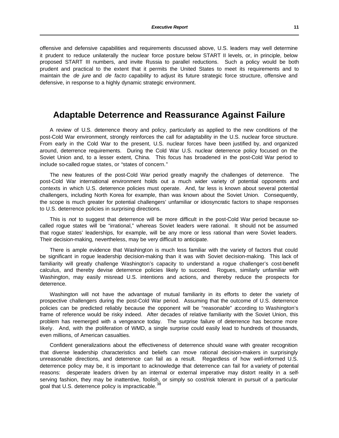offensive and defensive capabilities and requirements discussed above, U.S. leaders may well determine it prudent to reduce unilaterally the nuclear force posture below START II levels, or, in principle, below proposed START III numbers, and invite Russia to parallel reductions. Such a policy would be both prudent and practical to the extent that it permits the United States to meet its requirements and to maintain the *de jure* and *de facto* capability to adjust its future strategic force structure, offensive and defensive, in response to a highly dynamic strategic environment.

## **Adaptable Deterrence and Reassurance Against Failure**

A review of U.S. deterrence theory and policy, particularly as applied to the new conditions of the post-Cold War environment, strongly reinforces the call for adaptability in the U.S. nuclear force structure. From early in the Cold War to the present, U.S. nuclear forces have been justified by, and organized around, deterrence requirements. During the Cold War U.S. nuclear deterrence policy focused on the Soviet Union and, to a lesser extent, China. This focus has broadened in the post-Cold War period to include so-called rogue states, or "states of concern."

The new features of the post-Cold War period greatly magnify the challenges of deterrence. The post-Cold War international environment holds out a much wider variety of potential opponents and contexts in which U.S. deterrence policies must operate. And, far less is known about several potential challengers, including North Korea for example, than was known about the Soviet Union. Consequently, the scope is much greater for potential challengers' unfamiliar or idiosyncratic factors to shape responses to U.S. deterrence policies in surprising directions.

This is *not* to suggest that deterrence will be more difficult in the post-Cold War period because socalled rogue states will be "irrational," whereas Soviet leaders were rational. It should not be assumed that rogue states' leaderships, for example, will be any more or less rational than were Soviet leaders. Their decision-making, nevertheless, may be very difficult to anticipate.

There is ample evidence that Washington is much less familiar with the variety of factors that could be significant in rogue leadership decision-making than it was with Soviet decision-making. This lack of familiarity will greatly challenge Washington's capacity to understand a rogue challenger's cost-benefit calculus, and thereby devise deterrence policies likely to succeed. Rogues, similarly unfamiliar with Washington, may easily misread U.S. intentions and actions, and thereby reduce the prospects for deterrence.

Washington will not have the advantage of mutual familiarity in its efforts to deter the variety of prospective challengers during the post-Cold War period. Assuming that the outcome of U.S. deterrence policies can be predicted reliably because the opponent will be "reasonable" according to Washington's frame of reference would be risky indeed. After decades of relative familiarity with the Soviet Union, this problem has reemerged with a vengeance today. The surprise failure of deterrence has become more likely. And, with the proliferation of WMD, a single surprise could easily lead to hundreds of thousands, even millions, of American casualties.

Confident generalizations about the effectiveness of deterrence should wane with greater recognition that diverse leadership characteristics and beliefs can move rational decision-makers in surprisingly unreasonable directions, and deterrence can fail as a result. Regardless of how well-informed U.S. deterrence policy may be, it is important to acknowledge that deterrence can fail for a variety of potential reasons: desperate leaders driven by an internal or external imperative may distort reality in a selfserving fashion, they may be inattentive, foolish, or simply so cost/risk tolerant in pursuit of a particular goal that U.S. deterrence policy is impracticable.<sup>3</sup>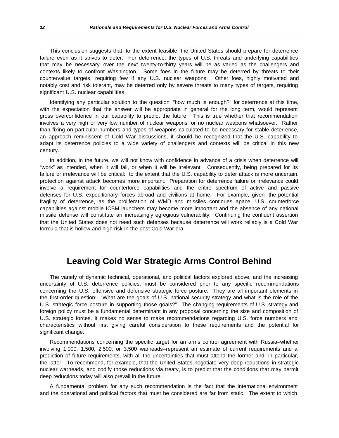This conclusion suggests that, to the extent feasible, the United States should prepare for deterrence failure even as it strives to deter. For deterrence, the types of U.S. threats and underlying capabilities that may be necessary over the next twenty-to-thirty years will be as varied as the challengers and contexts likely to confront Washington. Some foes in the future may be deterred by threats to their countervalue targets, requiring few if any U.S. nuclear weapons. Other foes, highly motivated and notably cost and risk tolerant, may be deterred only by severe threats to many types of targets, requiring significant U.S. nuclear capabilities.

Identifying any particular solution to the question "how much is enough?" for deterrence at this time, with the expectation that the answer will be appropriate in general for the long term, would represent gross overconfidence in our capability to predict the future. This is true whether that recommendation involves a very high or very low number of nuclear weapons, or no nuclear weapons whatsoever. Rather than fixing on particular numbers and types of weapons calculated to be necessary for stable deterrence, an approach reminiscent of Cold War discussions, it should be recognized that the U.S. capability to adapt its deterrence policies to a wide variety of challengers and contexts will be critical in this new century.

In addition, in the future, we will not know with confidence in advance of a crisis when deterrence will "work" as intended, when it will fail, or when it will be irrelevant. Consequently, being prepared for its failure or irrelevance will be critical: to the extent that the U.S. capability to deter attack is more uncertain, protection against attack becomes more important. Preparation for deterrence failure or irrelevance could involve a requirement for counterforce capabilities and the entire spectrum of active and passive defenses for U.S. expeditionary forces abroad and civilians at home. For example, given the potential fragility of deterrence, as the proliferation of WMD and missiles continues apace, U.S. counterforce capabilities against mobile ICBM launchers may become more important and the absence of any national missile defense will constitute an increasingly egregious vulnerability. Continuing the confident assertion that the United States does not need such defenses because deterrence will work reliably is a Cold War formula that is hollow and high-risk in the post-Cold War era.

## **Leaving Cold War Strategic Arms Control Behind**

The variety of dynamic technical, operational, and political factors explored above, and the increasing uncertainty of U.S. deterrence policies, must be considered prior to any specific recommendations concerning the U.S. offensive and defensive strategic force posture. They are all important elements in the first-order question: "What are the goals of U.S. national security strategy and what is the role of the U.S. strategic force posture in supporting those goals?" The changing requirements of U.S. strategy and foreign policy must be a fundamental determinant in any proposal concerning the size and composition of U.S. strategic forces. It makes no sense to make recommendations regarding U.S. force numbers and characteristics without first giving careful consideration to these requirements and the potential for significant change.

Recommendations concerning the specific target for an arms control agreement with Russia–whether involving 1,000, 1,500, 2,500, or 3,500 warheads–represent an estimate of current requirements and a prediction of future requirements, with all the uncertainties that must attend the former and, in particular, the latter. To recommend, for example, that the United States negotiate very deep reductions in strategic nuclear warheads, and codify those reductions via treaty, is to predict that the conditions that may permit deep reductions today will also prevail in the future.

A fundamental problem for any such recommendation is the fact that the international environment and the operational and political factors that must be considered are far from static. The extent to which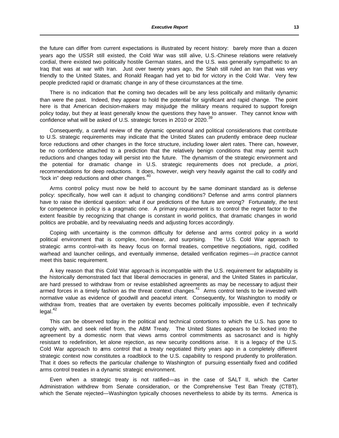the future can differ from current expectations is illustrated by recent history: barely more than a dozen years ago the USSR still existed, the Cold War was still alive, U.S.-Chinese relations were relatively cordial, there existed two politically hostile German states, and the U.S. was generally sympathetic to an Iraq that was at war with Iran. Just over twenty years ago, the Shah still ruled an Iran that was very friendly to the United States, and Ronald Reagan had yet to bid for victory in the Cold War. Very few people predicted rapid or dramatic change in any of these circumstances at the time.

There is no indication that the coming two decades will be any less politically and militarily dynamic than were the past. Indeed, they appear to hold the potential for significant and rapid change. The point here is that American decision-makers may misjudge the military means required to support foreign policy today, but they at least generally know the questions they have to answer. They cannot know with confidence what will be asked of U.S. strategic forces in 2010 or 2020.<sup>39</sup>

Consequently, a careful review of the dynamic operational and political considerations that contribute to U.S. strategic requirements may indicate that the United States can prudently embrace deep nuclear force reductions and other changes in the force structure, including lower alert rates. There can, however, be no confidence attached to a prediction that the relatively benign conditions that may permit such reductions and changes today will persist into the future. The dynamism of the strategic environment and the potential for dramatic change in U.S. strategic requirements does not preclude, *a priori*, recommendations for deep reductions. It does, however, weigh very heavily against the call to codify and "lock in" deep reductions and other changes.<sup>40</sup>

Arms control policy must now be held to account by the same dominant standard as is defense policy: specifically, how well can it adjust to changing conditions? Defense and arms control planners have to raise the identical question: what if our predictions of the future are wrong? Fortunately, *the* test for competence in policy is a pragmatic one. A primary requirement is to control the regret factor to the extent feasible by recognizing that change is constant in world politics, that dramatic changes in world politics are probable, and by reevaluating needs and adjusting forces accordingly.

Coping with uncertainty is the common difficulty for defense and arms control policy in a world political environment that is complex, non-linear, and surprising. The U.S. Cold War approach to strategic arms control–with its heavy focus on formal treaties, competitive negotiations, rigid, codified warhead and launcher ceilings, and eventually immense, detailed verification regimes—*in practice* cannot meet this basic requirement.

A key reason that this Cold War approach is incompatible with the U.S. requirement for adaptability is the historically demonstrated fact that liberal democracies in general, and the United States in particular, are hard pressed to withdraw from or revise established agreements as may be necessary to adjust their armed forces in a timely fashion as the threat context changes.<sup>41</sup> Arms control tends to be invested with normative value as evidence of goodwill and peaceful intent. Consequently, for Washington to modify or withdraw from, treaties that are overtaken by events becomes politically impossible, even if technically legal.<sup>42</sup>

This can be observed today in the political and technical contortions to which the U.S. has gone to comply with, and seek relief from, the ABM Treaty. The United States appears to be locked into the agreement by a domestic norm that views arms control commitments as sacrosanct and is highly resistant to redefinition, let alone rejection, as new security conditions arise. It is a legacy of the U.S. Cold War approach to arms control that a treaty negotiated thirty years ago in a completely different strategic context now constitutes a roadblock to the U.S. capability to respond prudently to proliferation. That it does so reflects the particular challenge to Washington of pursuing essentially fixed and codified arms control treaties in a dynamic strategic environment.

Even when a strategic treaty is not ratified—as in the case of SALT II, which the Carter Administration withdrew from Senate consideration, or the Comprehensive Test Ban Treaty (CTBT), which the Senate rejected—Washington typically chooses nevertheless to abide by its terms. America is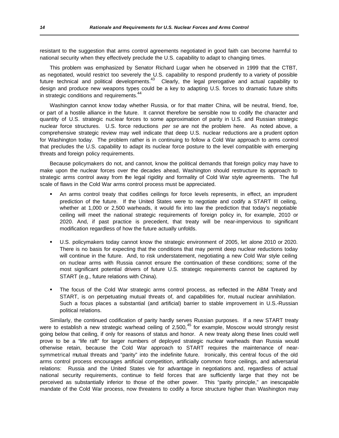resistant to the suggestion that arms control agreements negotiated in good faith can become harmful to national security when they effectively preclude the U.S. capability to adapt to changing times.

This problem was emphasized by Senator Richard Lugar when he observed in 1999 that the CTBT, as negotiated, would restrict too severely the U.S. capability to respond prudently to a variety of possible future technical and political developments.<sup>43</sup> Clearly, the legal prerogative and actual capability to design and produce new weapons types could be a key to adapting U.S. forces to dramatic future shifts in strategic conditions and requirements.<sup>44</sup>

Washington cannot know today whether Russia, or for that matter China, will be neutral, friend, foe, or part of a hostile alliance in the future. It cannot therefore be sensible now to codify the character and quantity of U.S. strategic nuclear forces to some approximation of parity in U.S. and Russian strategic nuclear force structures. U.S. force reductions *per se* are not the problem here. As noted above, a comprehensive strategic review may well indicate that deep U.S. nuclear reductions are a prudent option for Washington today. The problem rather is in continuing to follow a Cold War approach to arms control that precludes the U.S. capability to adapt its nuclear force posture to the level compatible with emerging threats and foreign policy requirements.

Because policymakers do not, and cannot, know the political demands that foreign policy may have to make upon the nuclear forces over the decades ahead, Washington should restructure its approach to strategic arms control away from the legal rigidity and formality of Cold War style agreements. The full scale of flaws in the Cold War arms control process must be appreciated.

- ß An arms control treaty that codifies ceilings for force levels represents, in effect, an imprudent prediction of the future. If the United States were to negotiate and codify a START III ceiling, whether at 1,000 or 2,500 warheads, it would fix into law the prediction that today's negotiable ceiling will meet the national strategic requirements of foreign policy in, for example, 2010 or 2020. And, if past practice is precedent, that treaty will be near-impervious to significant modification regardless of how the future actually unfolds.
- ß U.S. policymakers today cannot know the strategic environment of 2005, let alone 2010 or 2020. There is no basis for expecting that the conditions that may permit deep nuclear reductions today will continue in the future. And, to risk understatement, negotiating a new Cold War style ceiling on nuclear arms with Russia cannot ensure the continuation of these conditions; some of the most significant potential drivers of future U.S. strategic requirements cannot be captured by START (e.g., future relations with China).
- The focus of the Cold War strategic arms control process, as reflected in the ABM Treaty and START, is on perpetuating mutual threats of, and capabilities for, mutual nuclear annihilation. Such a focus places a substantial (and artificial) barrier to stable improvement in U.S.-Russian political relations.

Similarly, the continued codification of parity hardly serves Russian purposes. If a new START treaty were to establish a new strategic warhead ceiling of 2,500,<sup>45</sup> for example, Moscow would strongly resist going below that ceiling, if only for reasons of status and honor. A new treaty along these lines could well prove to be a "life raft" for larger numbers of deployed strategic nuclear warheads than Russia would otherwise retain, because the Cold War approach to START requires the maintenance of nearsymmetrical mutual threats and "parity" into the indefinite future. Ironically, this central focus of the old arms control process encourages artificial competition, artificially common force ceilings, and adversarial relations: Russia and the United States vie for advantage in negotiations and, regardless of actual national security requirements, continue to field forces that are sufficiently large that they not be perceived as substantially inferior to those of the other power. This "parity principle," an inescapable mandate of the Cold War process, now threatens to codify a force structure higher than Washington may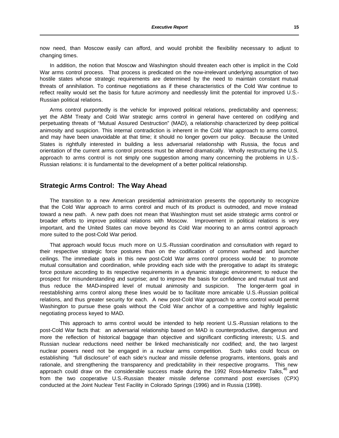In addition, the notion that Moscow and Washington should threaten each other is implicit in the Cold War arms control process. That process is predicated on the now-irrelevant underlying assumption of two hostile states whose strategic requirements are determined by the need to maintain constant mutual threats of annihilation. To continue negotiations as if these characteristics of the Cold War continue to reflect reality would set the basis for future acrimony and needlessly limit the potential for improved U.S.- Russian political relations.

Arms control purportedly is the vehicle for improved political relations, predictability and openness; yet the ABM Treaty and Cold War strategic arms control in general have centered on codifying and perpetuating threats of "Mutual Assured Destruction" (MAD), a relationship characterized by deep political animosity and suspicion. This internal contradiction is inherent in the Cold War approach to arms control, and may have been unavoidable at that time; it should no longer govern our policy. Because the United States is rightfully interested in building a less adversarial relationship with Russia, the focus and orientation of the current arms control process must be altered dramatically. Wholly restructuring the U.S. approach to arms control is not simply one suggestion among many concerning the problems in U.S.- Russian relations: it is fundamental to the development of a better political relationship.

### **Strategic Arms Control: The Way Ahead**

The transition to a new American presidential administration presents the opportunity to recognize that the Cold War approach to arms control and much of its product is outmoded, and move instead toward a new path. A new path does not mean that Washington must set aside strategic arms control or broader efforts to improve political relations with Moscow. Improvement in political relations is very important, and the United States can move beyond its Cold War mooring to an arms control approach more suited to the post-Cold War period.

That approach would focus much more on U.S.-Russian coordination and consultation with regard to their respective strategic force postures than on the codification of common warhead and launcher ceilings. The immediate goals in this new post-Cold War arms control process would be: to promote mutual consultation and coordination, while providing each side with the prerogative to adapt its strategic force posture according to its respective requirements in a dynamic strategic environment; to reduce the prospect for misunderstanding and surprise; and to improve the basis for confidence and mutual trust and thus reduce the MAD-inspired level of mutual animosity and suspicion. The longer-term goal in reestablishing arms control along these lines would be to facilitate more amicable U.S.-Russian political relations, and thus greater security for each. A new post-Cold War approach to arms control would permit Washington to pursue these goals without the Cold War anchor of a competitive and highly legalistic negotiating process keyed to MAD.

This approach to arms control would be intended to help reorient U.S.-Russian relations to the post-Cold War facts that: an adversarial relationship based on MAD is counterproductive, dangerous and more the reflection of historical baggage than objective and significant conflicting interests; U.S. and Russian nuclear reductions need neither be linked mechanistically nor codified; and, the two largest nuclear powers need not be engaged in a nuclear arms competition. Such talks could focus on establishing "full disclosure" of each side's nuclear and missile defense programs, intentions, goals and rationale, and strengthening the transparency and predictability in their respective programs. This new approach could draw on the considerable success made during the 1992 Ross-Mamedov Talks,  $46$  and from the two cooperative U.S.-Russian theater missile defense command post exercises (CPX) conducted at the Joint Nuclear Test Facility in Colorado Springs (1996) and in Russia (1998).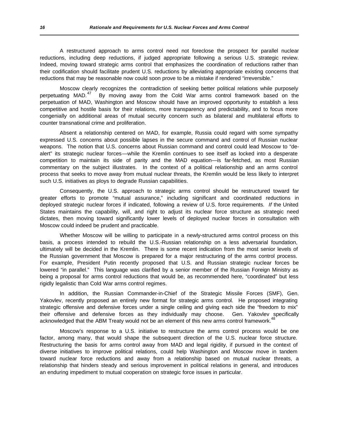A restructured approach to arms control need not foreclose the prospect for parallel nuclear reductions, including deep reductions, if judged appropriate following a serious U.S. strategic review. Indeed, moving toward strategic arms control that emphasizes the coordination of reductions rather than their codification should facilitate prudent U.S. reductions by alleviating appropriate existing concerns that reductions that may be reasonable now could soon prove to be a mistake if rendered "irreversible."

Moscow clearly recognizes the contradiction of seeking better political relations while purposely perpetuating MAD.<sup>47</sup> By moving away from the Cold War arms control framework based on the perpetuation of MAD, Washington and Moscow should have an improved opportunity to establish a less competitive and hostile basis for their relations, more transparency and predictability, and to focus more congenially on additional areas of mutual security concern such as bilateral and multilateral efforts to counter transnational crime and proliferation.

Absent a relationship centered on MAD, for example, Russia could regard with some sympathy expressed U.S. concerns about possible lapses in the secure command and control of Russian nuclear weapons. The notion that U.S. concerns about Russian command and control could lead Moscow to "dealert" its strategic nuclear forces—while the Kremlin continues to see itself as locked into a desperate competition to maintain its side of parity and the MAD equation—is far-fetched, as most Russian commentary on the subject illustrates. In the context of a political relationship and an arms control process that seeks to move away from mutual nuclear threats, the Kremlin would be less likely to interpret such U.S. initiatives as ploys to degrade Russian capabilities.

Consequently, the U.S. approach to strategic arms control should be restructured toward far greater efforts to promote "mutual assurance," including significant and coordinated reductions in deployed strategic nuclear forces if indicated, following a review of U.S. force requirements. *If* the United States maintains the capability, will, and right to adjust its nuclear force structure as strategic need dictates, then moving toward significantly lower levels of deployed nuclear forces in consultation with Moscow could indeed be prudent and practicable.

Whether Moscow will be willing to participate in a newly-structured arms control process on this basis, a process intended to rebuild the U.S.-Russian relationship on a less adversarial foundation, ultimately will be decided in the Kremlin. There is some recent indication from the most senior levels of the Russian government that Moscow is prepared for a major restructuring of the arms control process. For example, President Putin recently proposed that U.S. and Russian strategic nuclear forces be lowered "in parallel." This language was clarified by a senior member of the Russian Foreign Ministry as being a proposal for arms control reductions that would be, as recommended here, "coordinated" but less rigidly legalistic than Cold War arms control regimes.

In addition, the Russian Commander-in-Chief of the Strategic Missile Forces (SMF), Gen. Yakovlev, recently proposed an entirely new format for strategic arms control. He proposed integrating strategic offensive and defensive forces under a single ceiling and giving each side the "freedom to mix" their offensive and defensive forces as they individually may choose. Gen. Yakovlev specifically acknowledged that the ABM Treaty would not be an element of this new arms control framework.<sup>41</sup>

Moscow's response to a U.S. initiative to restructure the arms control process would be one factor, among many, that would shape the subsequent direction of the U.S. nuclear force structure. Restructuring the basis for arms control away from MAD and legal rigidity, if pursued in the context of diverse initiatives to improve political relations, could help Washington and Moscow move in tandem toward nuclear force reductions and away from a relationship based on mutual nuclear threats, a relationship that hinders steady and serious improvement in political relations in general, and introduces an enduring impediment to mutual cooperation on strategic force issues in particular.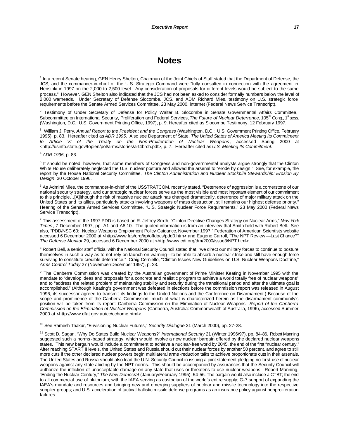## **Notes**

<sup>1</sup> In a recent Senate hearing, GEN Henry Shelton, Chairman of the Joint Chiefs of Staff stated that the Department of Defense, the JCS, and the commander-in-chief of the U.S. Strategic Command were "fully consulted in connection with the agreement in Hensinki in 1997 on the 2,000 to 2,500 level. Any consideration of proposals for different levels would be subject to the same process." However, GEN Shelton also indicated that the JCS had not been asked to consider formally numbers below the level of 2,000 warheads. Under Secretary of Defense Slocombe, JCS, and ADM Richard Mies, testimony on U.S. strategic force requirements before the Senate Armed Services Committee, 23 May 2000, internet (Federal News Service Transcript).

<sup>2</sup> Testimony of Under Secretary of Defense for Policy Walter B. Slocombe in Senate Governmental Affairs Committee, Subcommittee on International Security, Proliferation and Federal Services, The Future of Nuclear Deterrence, 105<sup>th</sup> Cong., 1<sup>st</sup> sess. (Washington, D.C.: U.S. Government Printing Office, 1997), p. 9. Hereafter cited as Slocombe Testimony, 12 February 1997.

3 William J. Perry, *Annual Report to the President and the Congress* (Washington, D.C.: U.S. Government Printing Office, February 1995), p. 83. Hereafter cited as *ADR 1995*. Also see Department of State, *The United States of America Meeting Its Commitment to Article VI of the Treaty on the Non-Proliferation of Nuclear Weapons*, accessed Spring 2000 at <http://usinfo.state.gov/topien/pol/arms/stories/art4brch.pdf>, p. 7. Hereafter cited as *U.S. Meeting Its Commitment*.

<sup>4</sup> *ADR 1995*, p. 83.

<sup>5</sup> It should be noted, however, that some members of Congress and non-governmental analysts argue strongly that the Clinton White House deliberately neglected the U.S. nuclear posture and allowed the arsenal to "erode by design." See, for example, the report by the House National Security Committee, *The Clinton Administration and Nuclear Stockpile Stewardship: Erosion By Design*, 30 October 1996.

<sup>6</sup> As Admiral Mies, the commander-in-chief of the USSTRATCOM, recently stated, "Deterrence of aggression is a cornerstone of our national security strategy, and our strategic nuclear forces serve as the most visible and most important element of our commitment to this principle…[A]lthough the risk of massive nuclear attack has changed dramatically, deterrence of major military attack on the United States and its allies, particularly attacks involving weapons of mass destruction, still remains our highest defense priority." Hearing of the Senate Armed Services Committee, "U.S. Strategic Nuclear Force Requirements," 23 May 2000 (Federal News Service Transcript).

7 This assessment of the 1997 PDD is based on R. Jeffrey Smith, "Clinton Directive Changes Strategy on Nuclear Arms," *New York Times*, 7 December 1997, pp. A1 and A8-10. The quoted information is from an interview that Smith held with Robert Bell. See also, "PDD/NSC 60: Nuclear Weapons Employment Policy Guidance, November 1997," Federation of American Scientists website accessed 6 December 2000 at <http://www.fas/org/irp/offdocs/pdd0.htm> and Eugene Carroll, "The NPT Review —Last Chance?" *The Defense Monitor* 29, accessed 6 December 2000 at <http://www.cdi.org/dm/2000/issue3/NPT.html>.

<sup>8</sup> Robert Bell, a senior staff official with the National Security Council stated that, "we direct our military forces to continue to posture themselves in such a way as to not rely on launch on warning—to be able to absorb a nuclear strike and still have enough force surviving to constitute credible deterrence." Craig Cerniello, "Clinton Issues New Guidelines on U.S. Nuclear Weapons Doctrine," *Arms Control Today* 27 (November/December 1997), p. 23.

<sup>9</sup> The Canberra Commission was created by the Australian government of Prime Minister Keating in November 1995 with the mandate to "develop ideas and proposals for a concrete and realistic program to achieve a world totally free of nuclear weapons" and to "address the related problem of maintaining stability and security during the transitional period and after the ultimate goal is accomplished." (Although Keating's government was defeated in elections before the commission report was released in August 1996, its successor agreed to transmit its findings to the United Nations and the Conference on Disarmament.) Because of the scope and prominence of the Canberra Commission, much of what is characterized herein as the disarmament community's position will be taken from its report: Canberra Commission on the Elimination of Nuclear Weapons, *Report of the Canberra Commission on the Elimination of Nuclear Weapons* (Canberra, Australia: Commonwealth of Australia, 1996), accessed Summer 2000 at <http://www.dfat.gov.au/cc/cchome.html>.

<sup>10</sup> See Ramesh Thakur, "Envisioning Nuclear Futures," *Security Dialogue* 31 (March 2000), pp. 27-28.

<sup>11</sup> Scott D. Sagan, "Why Do States Build Nuclear Weapons?" *International Security* 21 (Winter 1996/97), pp. 84-86. Robert Manning suggested such a norms -based strategy, which w ould involve a new nuclear bargain offered by the declared nuclear weapons states. This new bargain would include a commitment to achieve a nuclear-free world by 2045, the end of the first "nuclear century." After reaching START II levels, the United States and Russia should cut their nuclear forces by another 50 percent, and agree to still more cuts if the other declared nuclear powers begin multilateral arms -reduction talks to achieve proportionate cuts in their arsenals. The United States and Russia should also lead the U.N. Security Council in issuing a joint statement pledging no-first-use of nuclear weapons against any state abiding by the NPT norms. This should be accompanied by assurances that the Security Council will authorize the infliction of unacceptable damage on any state that uses or threatens to use nuclear weapons. Robert Manning, "Ending the Nuclear Century," *The New Democrat* (January/February 1995): 54-56. The bargain would also include a CTBT; the end to all commercial use of plutonium, with the IAEA serving as custodian of the world's entire supply; G-7 support of expanding the IAEA's mandate and resources and bringing new and emerging suppliers of nuclear and missile technology into the respective supplier groups; and U.S. acceleration of tactical ballistic missile defense programs as an insurance policy against nonproliferation failures.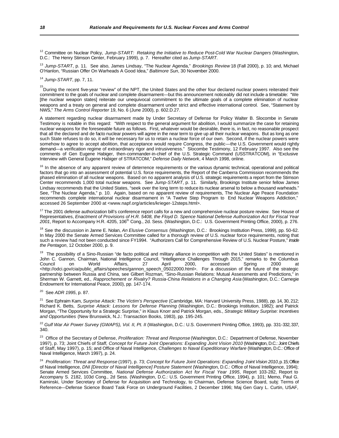<sup>12</sup> Committee on Nuclear Policy, *Jump-START: Retaking the Initiative to Reduce Post-Cold War Nuclear Dangers* (Washington, D.C.: The Henry Stimson Center, February 1999), p. 7. Hereafter cited as *Jump-START.*

<sup>13</sup> *Jump-START*, p. 11. See also, James Lindsay, "The Nuclear Agenda," *Brookings Review* 18 (Fall 2000), p. 10; and, Michael O'Hanlon, "Russian Offer On Warheads A Good Idea," *Baltimore Sun*, 30 November 2000.

<sup>14</sup> *Jump-START*, pp. 7, 11.

<sup>15</sup>During the recent five-year "review" of the NPT, the United States and the other four declared nuclear powers reiterated their commitment to the goals of nuclear and complete disarmament—but this announcement noticeably did not include a timetable: "We [the nuclear weapon states] reiterate our unequivocal commitment to the ultimate goals of a complete elimination of nuclear weapons and a treaty on general and complete disarmament under strict and effective international control. See, "Statement by NWS," *The Arms Control Reporter* 19, No. 6 (June 2000), p. 602.D.27.

A statement regarding nuclear disarmament made by Under Secretary of Defense for Policy Walter B. Slocombe in Senate Testimony is notable in this regard: "With respect to the general argument for abolition, I would summarize the case for retaining nuclear weapons for the foreseeable future as follows. First, whatever would be desirable, there is, in fact, no reasonable prospect that all the declared and de facto nuclear powers will agree in the near term to give up all their nuclear weapons. But as long as one such State refuses to do so, it will be necessary for us to retain a nuclear force of our own. Second, if the nuclear powers were somehow to agree to accept abolition, that acceptance would require Congress, the public—the U.S. Government would rightly demand—a verification regime of extraordinary rigor and intrusiveness." Slocombe Testimony, 12 February 1997. Also see the comments of Gen Eugene Habiger, then-commander-in-chief of the U.S. Strategic Command (USSTRATCOM), in "Exclusive Interview with General Eugene Habiger of STRATCOM," *Defense Daily Network*, 4 March 1998, online.

<sup>16</sup> In the absence of any apparent review of deterrence requirements or the various dynamic technical, operational and political factors that go into an assessment of potential U.S. force requirements, the Report of the Canberra Commission recommends the phased elimination of all nuclear weapons. Based on no apparent analysis of U.S. strategic requirements a report from the Stimson Center recommends 1,000 total nuclear weapons. See *Jump-START*, p. 11. Similarly, Brookings Institute senior fellow James Lindsay recommends that the United States, "seek over the long term to reduce its nuclear arsenal to below a thousand warheads." See, "The Nuclear Agenda," p. 10. Again, based on no apparent review of requirements, The Nuclear Age Peace Foundation recommends complete international nuclear disarmament in "A Twelve Step Program to End Nuclear Weapons Addiction," accessed 26 September 2000 at <www.napf.org/articles/krieger-12steps.html>.

<sup>17</sup> The 2001 defense authorization bill's conference report calls for a new and comprehensive nuclear posture review. See House of Representatives, *Enactment of Provisions of H.R. 5408, the Floyd D. Spence National Defense Authorization Act for Fiscal Year 2001*, Report to Accompany H.R. 4205, 106th Cong., 2d. Sess. (Washington, D.C.: U.S. Government Printing Office, 2000), p. 276.

<sup>18</sup> See the discussion in Janne E. Nolan, *An Elusive Consensus* (Washington, D.C.: Brookings Institution Press, 1999), pp. 50-62. In May 2000 the Senate Armed Services Committee called for a thorough review of U.S. nuclear force requirements, noting that such a review had not been conducted since FY1994. "Authorizers Call for Comprehensive Review of U.S. Nuclear Posture," *Inside the Pentagon*, 12 October 2000, p. 9.

<sup>19</sup> The possibility of a Sino-Russian "de facto political and military alliance in competition with the United States" is mentioned in John C. Gannon, Chairman, National Intelligence Council, "Intelligence Challenges Through 2015," remarks to the Columbus Council on World Affairs, 27 April 2000, accessed Spring 2000 at <http://odci.gov/cia/public\_affairs/speeches/gannon\_speech\_05022000.html>. For a discussion of the future of the strategic partnership between Russia and China, see Gilbert Rozman, "Sino-Russian Relations: Mutual Assessments and Predictions," in Sherman W. Garnett, ed., *Rapprochement or Rivalry? Russia-China Relations in a Changing Asia* (Washington, D.C.: Carnegie Endowment for International Peace, 2000), pp. 147-174.

<sup>20</sup> See *ADR 1995*, p. 87.

<sup>21</sup> See Ephraim Kam, *Surprise Attack: The Victim's Perspective* (Cambridge, MA: Harvard University Press, 1988), pp. 14, 30, 212; Richard K. Betts, *Surprise Attack: Lessons for Defense Planning* (Washington, D.C.: Brookings Institution, 1982); and Patrick Morgan, "The Opportunity for a Strategic Surprise," in Klaus Knorr and Patrick Morgan, eds., *Strategic Military Surprise: Incentives and Opportunities* (New Brunswick, N.J.: Transaction Books, 1983), pp. 195-245.

<sup>22</sup> Gulf War Air Power Survey (GWAPS), Vol. II, Pt. II (Washington, D.C.: U.S. Government Printing Office, 1993), pp. 331-332, 337, 340.

<sup>23</sup> Office of the Secretary of Defense, *Proliferation: Threat and Response* (Washington, D.C.: Department of Defense, November 1997), p. 73; Joint Chiefs of Staff*, Concept for Future Joint Operations: Expanding Joint Vision 2010* (Washington, D.C.: Joint Chiefs of Staff, May 1997), p. 15; and Office of Naval Intelligence, *Challenges to Naval Expeditionary Warfare* (Washington, D.C.: Office of Naval Intelligence, March 1997), p. 24.

24 *Proliferation: Threat and Response* (1997), p. 73; *Concept for Future Joint Operations: Expanding Joint Vision 2010*, p. 15; Office of Naval Intelligence, *DNI [Director of Naval Intelligence] Posture Statement* (Washington, D.C.: Office of Naval Intelligence, 1994); Senate Armed Services Committee, *National Defense Authorization Act for Fiscal Year 1995*, Report 103-282, Report to Accompany S. 2182, 103d Cong., 2d Sess. (Washington, D.C.: U.S. Government Printing Office, 1994), p. 101; Memo, Paul G. Kaminski, Under Secretary of Defense for Acquisition and Technology, to Chairman, Defense Science Board, subj: Terms of Reference—Defense Science Board Task Force on Underground Facilities, 2 December 1996; Maj Gen Gary L. Curtin, USAF,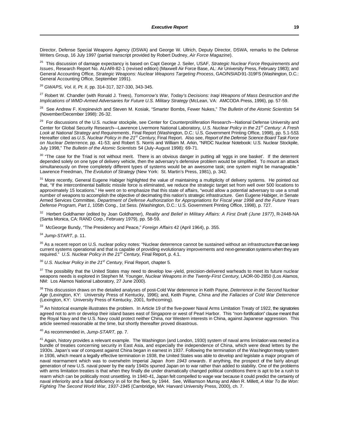Director, Defense Special Weapons Agency (DSWA) and George W. Ullrich, Deputy Director, DSWA, remarks to the Defense Writers Group, 16 July 1997 (partial transcript provided by Robert Dudney, *Air Force Magazine*).

<sup>25</sup> This discussion of damage expectancy is based on Capt George J. Seiler, USAF, *Strategic Nuclear Force Requirements and Issues*, Research Report No. AU-ARI-82-1 (revised edition) (Maxwell Air Force Base, AL: Air University Press, February 1983); and General Accounting Office, *Strategic Weapons: Nuclear Weapons Targeting Process*, GAO/NSIAD-91-319FS (Washington, D.C.: General Accounting Office, September 1991).

<sup>26</sup> *GWAPS, Vol. II, Pt. II*, pp. 314-317, 327-330, 343-345.

<sup>27</sup> Robert W. Chandler (with Ronald J. Trees), *Tomorrow's War, Today's Decisions: Iraqi Weapons of Mass Destruction and the Implications of WMD-Armed Adversaries for Future U.S. Military Strategy* (McLean, VA: AMCODA Press, 1996), pp. 57-59.

<sup>28</sup> See Andrew F. Krepinevich and Steven M. Kosiak, "Smarter Bombs, Fewer Nukes," *The Bulletin of the Atomic Scientists* 54 (November/December 1998): 26-32.

<sup>29</sup> For discussions of the U.S. nuclear stockpile, see Center for Counterproliferation Research—National Defense University and Center for Global Security Research—Lawrence Livermore National Laboratory, *U.S. Nuclear Policy in the 21st Century: A Fresh Look at National Strategy and Requirements*, Final Report (Washington, D.C.: U.S. Government Printing Office, 1998), pp. 5.1-5.53. Hereafter cited as *U.S. Nuclear Policy in the 21st Century*, Final Report. Also see, *Report of the Defense Science Board Task Force on Nuclear Deterrence*, pp. 41-53; and Robert S. Norris and William M. Arkin, "NRDC Nuclear Notebook: U.S. Nuclear Stockpile, July 1998," *The Bulletin of the Atomic Scientists* 54 (July-August 1998): 69-71.

<sup>30</sup> "The case for the Triad is not without merit. There is an obvious danger in putting all 'eggs in one basket'. If the deterrent depended solely on one type of delivery vehicle, then the adversary's defensive problem would be simplified. To mount an attack simultaneously on three completely different types of systems would be an awesome task; one system might be manageable." Lawrence Freedman, *The Evolution of Strategy* (New York: St. Martin's Press, 1981), p. 342.

31 More recently, General Eugene Habiger highlighted the value of maintaining a multiplicity of delivery systems. He pointed out that, "If the intercontinental ballistic missile force is eliminated, we reduce the strategic target set from well over 500 locations to approximately 15 locations." He went on to emphasize that this state of affairs, "would allow a potential adversary to use a small number of weapons to accomplish the objective of decimating this nation's strategic infrastructure. Gen Eugene Habiger, in Senate Armed Services Committee, *Department of Defense Authorization for Appropriations for Fiscal year 1998 and the Future Years Defense Program, Part 1*, 105th Cong., 1st Sess. (Washington, D.C.: U.S. Government Printing Office, 1998), p. 727.

<sup>32</sup> Herbert Goldhamer (edited by Joan Goldhamer), *Reality and Belief in Military Affairs: A First Draft (June 1977)*, R-2448-NA (Santa Monica, CA: RAND Corp., February 1979), pp. 58-59.

<sup>33</sup> McGeorge Bundy, "The Presidency and Peace," *Foreign Affairs* 42 (April 1964), p. 355.

<sup>34</sup> *Jump-START*, p. 11.

 $35$  As a recent report on U.S. nuclear policy notes: "Nuclear deterrence cannot be sustained without an infrastructure that can keep current systems operational and that is capable of providing evolutionary improvements and next-generation systems when they are required." *U.S. Nuclear Policy in the 21st Century,* Final Report, p. 4.1.

<sup>36</sup> *U.S. Nuclear Policy in the 21st Century,* Final Report, chapter 5.

<sup>37</sup> The possibility that the United States may need to develop low-yield, precision-delivered warheads to meet its future nuclear weapons needs is explored in Stephen M. Younger, *Nuclear Weapons in the Twenty-First Century*, LAOR-00-2850 (Los Alamos, NM: Los Alamos National Laboratory, 27 June 2000).

<sup>38</sup> This discussion draws on the detailed analyses of post-Cold War deterrence in Keith Payne, *Deterrence in the Second Nuclear Age* (Lexington, KY: University Press of Kentucky, 1996); and, Keith Payne, *China and the Fallacies of Cold War Deterrence* (Lexington, KY: University Press of Kentucky, 2001, forthcoming).

<sup>39</sup> An historical example illustrates the problem. In Article 19 of the five-power Naval Arms Limitation Treaty of 1922, the signatories agreed not to arm or develop their island bases east of Singapore or west of Pearl Harbor. This "non-fortification" clause meant that the Royal Navy and the U.S. Navy could protect neither China, nor Western interests in China, against Japanese aggression. This article seemed reasonable at the time, but shortly thereafter proved disastrous.

<sup>40</sup> As recommended in, *Jump-START,* pp. 7.

<sup>41</sup> Again, history provides a relevant example. The Washington (and London, 1930) system of naval arms limitation was nested in a bundle of treaties concerning security in East Asia, and especially the independence of China, which were dead letters by the 1930s. Japan's war of conquest against China began in earnest in 1937. Following the termination of the Washington treaty system in 1936, which meant a legally effective termination in 1938, the United States was able to develop and legislate a major program of naval rearmament which was to overwhelm Imperial Japan *from 1943 onwards*. If anything, the prospect of the fairly abrupt generation of new U.S. naval power by the early 1940s spurred Japan on to war rather than added to stability. One of the problems with arms limitation treaties is that when they finally die under dramatically changed political conditions there is apt to be a rush to rearm which can be politically most unsettling. In 1940-41, Japan felt compelled to wage war because it could predict the certainty of naval inferiority and a fatal deficiency in oil for the fleet, by 1944. See, Williamson Murray and Allen R. Millett, *A War To Be Won: Fighting The Second World War, 1937-1945* (Cambridge, MA: Harvard University Press, 2000), ch. 7.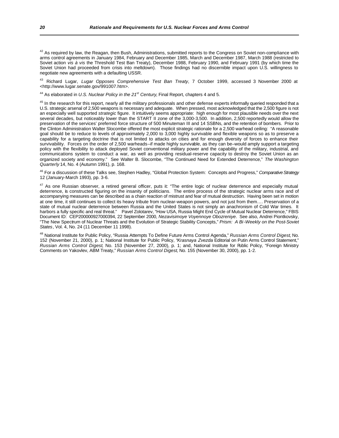$42$  As required by law, the Reagan, then Bush, Administrations, submitted reports to the Congress on Soviet non-compliance with arms control agreements in January 1984, February and December 1985, March and December 1987, March 1988 (restricted to Soviet action *vis à vis* the Threshold Test Ban Treaty), December 1988, February 1990, and February 1991 (by which time the Soviet Union had proceeded from crisis into meltdown). Those findings had no discernible impact upon U.S. willingness to negotiate new agreements with a defaulting USSR.

<sup>43</sup> Richard Lugar, *Lugar Opposes Comprehensive Test Ban Treaty*, 7 October 1999, accessed 3 November 2000 at <http://www.lugar.senate.gov/991007.htm>.

<sup>44</sup> As elaborated in *U.S. Nuclear Policy in the 21st Century*, Final Report, chapters 4 and 5.

<sup>45</sup> In the research for this report, nearly all the military professionals and other defense experts informally queried responded that a U.S. strategic arsenal of 2,500 weapons is necessary and adequate. When pressed, most acknowledged that the 2,500 figure is not an especially well supported *strategic* figure. It intuitively seems appropriate: high enough for most plausible needs over the next several decades, but noticeably lower than the START II zone of the 3,000-3,500. In addition, 2,500 reportedly would allow the preservation of the services' preferred force structure of 500 Minuteman III and 14 SSBNs, and the retention of bombers. Prior to the Clinton Administration Walter Slocombe offered the most explicit strategic rationale for a 2,500 warhead ceiling: "A reasonable goal should be to reduce to levels of approximately 2,000 to 3,000 highly survivable and flexible weapons so as to preserve a capability for a targeting doctrine that is not limited to attacks on cities and for enough diversity of forces to enhance their survivability. Forces on the order of 2,500 warheads–if made highly survivable, as they can be–would amply support a targeting policy with the flexibility to attack deployed Soviet conventional military power and the capability of the military, industrial, and communications system to conduct a war, as well as providing residual-reserve capacity to destroy the Soviet Union as an organized society and economy." See Walter B. Slocombe, "The Continued Need for Extended Deterrence," *The Washington Quarterly* 14, No. 4 (Autumn 1991), p. 168.

<sup>46</sup> For a discussion of these Talks see, Stephen Hadley, "Global Protection System: Concepts and Progress," *Comparative Strategy* 12 (January-March 1993), pp. 3-6.

<sup>47</sup> As one Russian observer, a retired general officer, puts it: "The entire logic of nuclear deterrence and especially mutual deterrence, is constructed figuring on the insanity of politicians. The entire process of the strategic nuclear arms race and of accompanying measures can be described as a chain reaction of mistrust and fear of mutual destruction. Having been set in motion at one time, it still continues to collect its heavy tribute from nuclear-weapon powers, and not just from them…. Preservation of a state of mutual nuclear deterrence between Russia and the United States is not simply an anachronism of Cold War times. It harbors a fully specific and real threat." Pavel Zolotarev, "How USA, Russia Might End Cycle of Mutual Nuclear Deterrence," FBIS Document ID: CEP200000927000394, 22 September 2000, *Nezavisimoye Voyennoye Obozreniye*. See also, Andrei Piontkovsky, "The New Spectrum of Nuclear Threats and the Evolution of Strategic Stability Concepts," *Prism: A Bi-Weekly on the Post-Soviet States*, Vol. 4, No. 24 (11 December 11 1998).

<sup>48</sup> National Institute for Public Policy, "Russia Attempts To Define Future Arms Control Agenda," *Russian Arms Control Digest*, No. 152 (November 21, 2000), p. 1; National Institute for Public Policy, "*Krasnaya Zvezda* Editorial on Putin Arms Control Statement," *Russian Arms Control Digest*, No. 153 (November 27, 2000), p. 1; and, National Institute for Public Policy, "Foreign Ministry Comments on Yakovlev, ABM Treaty," *Russian Arms Control Digest*, No. 155 (November 30, 2000), pp. 1-2.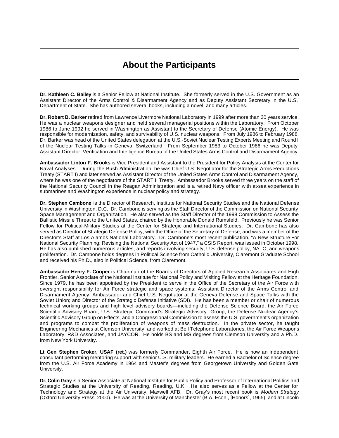# **About the Participants**

**Dr. Kathleen C. Bailey** is a Senior Fellow at National Institute. She formerly served in the U.S. Government as an Assistant Director of the Arms Control & Disarmament Agency and as Deputy Assistant Secretary in the U.S. Department of State. She has authored several books, including a novel, and many articles.

**Dr. Robert B. Barker** retired from Lawrence Livermore National Laboratory in 1999 after more than 30 years service. He was a nuclear weapons designer and held several managerial positions within the Laboratory. From October 1986 to June 1992 he served in Washington as Assistant to the Secretary of Defense (Atomic Energy). He was responsible for modernization, safety, and survivability of U.S. nuclear weapons. From July 1986 to February 1988, Dr. Barker was head of the United States delegation at the U.S.-Soviet Nuclear Testing Experts Meeting and Round I of the Nuclear Testing Talks in Geneva, Switzerland. From September 1983 to October 1986 he was Deputy Assistant Director, Verification and Intelligence Bureau of the United States Arms Control and Disarmament Agency.

**Ambassador Linton F. Brooks** is Vice President and Assistant to the President for Policy Analysis at the Center for Naval Analyses. During the Bush Administration, he was Chief U.S. Negotiator for the Strategic Arms Reductions Treaty (START I) and later served as Assistant Director of the United States Arms Control and Disarmament Agency, where he was one of the negotiators of the START II Treaty. Ambassador Brooks served three years on the staff of the National Security Council in the Reagan Administration and is a retired Navy officer with at-sea experience in submarines and Washington experience in nuclear policy and strategy.

**Dr. Stephen Cambone** is the Director of Research, Institute for National Security Studies and the National Defense University in Washington, D.C. Dr. Cambone is serving as the Staff Director of the Commission on National Security Space Management and Organization. He also served as the Staff Director of the 1998 Commission to Assess the Ballistic Missile Threat to the United States, chaired by the Honorable Donald Rumsfeld. Previously he was Senior Fellow for Political-Military Studies at the Center for Strategic and International Studies. Dr. Cambone has also served as Director of Strategic Defense Policy, with the Office of the Secretary of Defense, and was a member of the Director's Staff at Los Alamos National Laboratory. Dr. Cambone's most recent publication, "A New Structure For National Security Planning: Revising the National Security Act of 1947," a CSIS Report, was issued in October 1998. He has also published numerous articles, and reports involving security, U.S. defense policy, NATO, and weapons proliferation. Dr. Cambone holds degrees in Political Science from Catholic University, Claremont Graduate School and received his Ph.D., also in Political Science, from Claremont.

**Ambassador Henry F. Cooper** is Chairman of the Boards of Directors of Applied Research Associates and High Frontier, Senior Associate of the National Institute for National Policy and Visiting Fellow at the Heritage Foundation. Since 1979, he has been appointed by the President to serve in the Office of the Secretary of the Air Force with oversight responsibility for Air Force strategic and space systems; Assistant Director of the Arms Control and Disarmament Agency; Ambassador and Chief U.S. Negotiator at the Geneva Defense and Space Talks with the Soviet Union; and Director of the Strategic Defense Initiative (SDI). He has been a member or chair of numerous technical working groups and high level advisory boards—including the Defense Science Board, the Air Force Scientific Advisory Board, U.S. Strategic Command's Strategic Advisory Group, the Defense Nuclear Agency's Scientific Advisory Group on Effects, and a Congressional Commission to assess the U.S. government's organization and programs to combat the proliferation of weapons of mass destruction. In the private sector, he taught Engineering Mechanics at Clemson University, and worked at Bell Telephone Laboratories, the Air Force Weapons Laboratory, R&D Associates, and JAYCOR. He holds BS and MS degrees from Clemson University and a Ph.D. from New York University.

**Lt Gen Stephen Croker, USAF (ret.)** was formerly Commander, Eighth Air Force. He is now an independent consultant performing mentoring support with senior U.S. military leaders. He earned a Bachelor of Science degree from the U.S. Air Force Academy in 1964 and Master's degrees from Georgetown University and Golden Gate University.

**Dr. Colin Gray** is a Senior Associate at National Institute for Public Policy and Professor of International Politics and Strategic Studies at the University of Reading, Reading, U.K. He also serves as a Fellow at the Center for Technology and Strategy at the Air University, Maxwell AFB. Dr. Gray's most recent book is *Modern Strategy* (Oxford University Press, 2000). He was at the University of Manchester (B.A. Econ., [Honors], 1965), and at Lincoln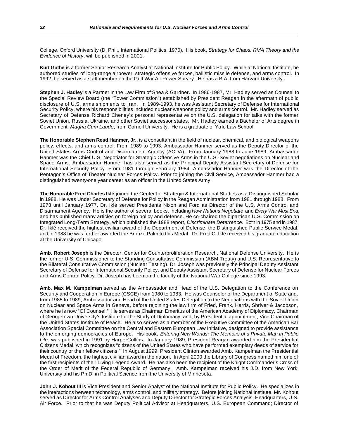College, Oxford University (D. Phil., International Politics, 1970). His book, *Strategy for Chaos: RMA Theory and the Evidence of History*, will be published in 2001.

**Kurt Guthe** is a former Senior Research Analyst at National Institute for Public Policy. While at National Institute, he authored studies of long-range airpower, strategic offensive forces, ballistic missile defense, and arms control. In 1992, he served as a staff member on the Gulf War Air Power Survey. He has a B.A. from Harvard University.

**Stephen J. Hadley** is a Partner in the Law Firm of Shea & Gardner. In 1986-1987, Mr. Hadley served as Counsel to the Special Review Board (the "Tower Commission") established by President Reagan in the aftermath of public disclosure of U.S. arms shipments to Iran. In 1989-1993, he was Assistant Secretary of Defense for International Security Policy, where his responsibilities included nuclear weapons policy and arms control. Mr. Hadley served as Secretary of Defense Richard Cheney's personal representative on the U.S. delegation for talks with the former Soviet Union, Russia, Ukraine, and other Soviet successor states. Mr. Hadley earned a Bachelor of Arts degree in Government, *Magna Cum Laude*, from Cornell University. He is a graduate of Yale Law School.

**The Honorable Stephen Read Hanmer, Jr.,** is a consultant in the field of nuclear, chemical, and biological weapons policy, effects, and arms control. From 1989 to 1993, Ambassador Hanmer served as the Deputy Director of the United States Arms Control and Disarmament Agency (ACDA). From January 1988 to June 1989, Ambassador Hanmer was the Chief U.S. Negotiator for Strategic Offensive Arms in the U.S.-Soviet negotiations on Nuclear and Space Arms. Ambassador Hanmer has also served as the Principal Deputy Assistant Secretary of Defense for International Security Policy. From 1981 through February 1984, Ambassador Hanmer was the Director of the Pentagon's Office of Theater Nuclear Forces Policy. Prior to joining the Civil Service, Ambassador Hanmer had a distinguished twenty-one year career as an officer in the United States Army.

**The Honorable Fred Charles Iklé** joined the Center for Strategic & International Studies as a Distinguished Scholar in 1988. He was Under Secretary of Defense for Policy in the Reagan Administration from 1981 through 1988. From 1973 until January 1977, Dr. Iklé served Presidents Nixon and Ford as Director of the U.S. Arms Control and Disarmament Agency. He is the author of several books, including *How Nations Negotiate* and *Every War Must End*, and has published many articles on foreign policy and defense. He co-chaired the bipartisan U.S. Commission on Integrated Long-Term Strategy, which published the 1988 report, *Discriminate Deterrence*. Both in 1975 and in 1987, Dr. Iklé received the highest civilian award of the Department of Defense, the Distinguished Public Service Medal, and in 1988 he was further awarded the Bronze Palm to this Medal. Dr. Fred C. Iklé received his graduate education at the University of Chicago.

**Amb. Robert Joseph** is the Director, Center for Counterproliferation Research, National Defense University. He is the former U.S. Commissioner to the Standing Consultative Commission (ABM Treaty) and U.S. Representative to the Bilateral Consultative Commission (Nuclear Testing). Dr. Joseph was previously the Principal Deputy Assistant Secretary of Defense for International Security Policy, and Deputy Assistant Secretary of Defense for Nuclear Forces and Arms Control Policy. Dr. Joseph has been on the faculty of the National War College since 1993.

**Amb. Max M. Kampelman** served as the Ambassador and Head of the U.S. Delegation to the Conference on Security and Cooperation in Europe (CSCE) from 1980 to 1983. He was Counselor of the Department of State and, from 1985 to 1989, Ambassador and Head of the United States Delegation to the Negotiations with the Soviet Union on Nuclear and Space Arms in Geneva, before rejoining the law firm of Fried, Frank, Harris, Shriver & Jacobson, where he is now "Of Counsel." He serves as Chairman Emeritus of the American Academy of Diplomacy, Chairman of Georgetown University's Institute for the Study of Diplomacy, and, by Presidential appointment, Vice Chairman of the United States Institute of Peace. He also serves as a member of the Executive Committee of the American Bar Association Special Committee on the Central and Eastern European Law Initiative, designed to provide assistance to the emerging democracies of Europe. His book, *Entering New Worlds: The Memoirs of a Private Man in Public Life*, was published in 1991 by HarperCollins. In January 1989, President Reagan awarded him the Presidential Citizens Medal, which recognizes "citizens of the United States who have performed exemplary deeds of service for their country or their fellow citizens." In August 1999, President Clinton awarded Amb. Kampelman the Presidential Medal of Freedom, the highest civilian award in the nation. In April 2000 the Library of Congress named him one of the first recipients of their Living Legend Award. He has also been the recipient of the Knight Commander's Cross of the Order of Merit of the Federal Republic of Germany. Amb. Kampelman received his J.D. from New York University and his Ph.D. in Political Science from the University of Minnesota.

**John J. Kohout III** is Vice President and Senior Analyst of the National Institute for Public Policy. He specializes in the interactions between technology, arms control, and military strategy. Before joining National Institute, Mr. Kohout served as Director for Arms Control Analyses and Deputy Director for Strategic Forces Analysis, Headquarters, U.S. Air Force. Prior to that he was Deputy Political Advisor at Headquarters, U.S. European Command; Director of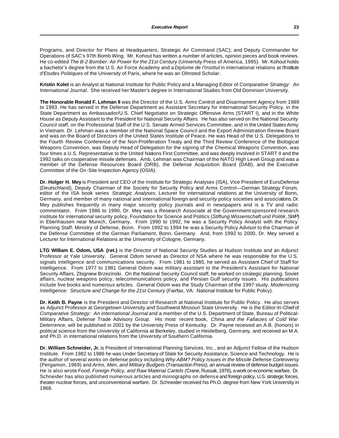Programs, and Director for Plans at Headquarters, Strategic Air Command (SAC); and Deputy Commander for Operations of SAC's 97th Bomb Wing. Mr. Kohout has written a number of articles, opinion pieces and book reviews. He co-edited *The B-2 Bomber: Air Power for the 21st Century* (University Press of America, 1995)*.* Mr. Kohout holds a bachelor's degree from the U.S. Air Force Academy and a *Diplome de l'Institut* in international relations at *l'Institute d'Etudes Politiques* of the University of Paris, where he was an Olmsted Scholar.

**Kristin Kolet** is an Analyst at National Institute for Public Policy and a Managing Editor of *Comparative Strategy: An International Journal*. She received her Master's degree in International Studies from Old Dominion University.

**The Honorable Ronald F. Lehman II** was the Director of the U.S. Arms Control and Disarmament Agency from 1989 to 1993. He has served in the Defense Department as Assistant Secretary for International Security Policy, in the State Department as Ambassador/U.S. Chief Negotiator on Strategic Offensive Arms (START I), and in the White House as Deputy Assistant to the President for National Security Affairs. He has also served on the National Security Council staff, on the Professional Staff of the U.S. Senate Armed Services Committee, and in the United States Army in Vietnam. Dr. Lehman was a member of the National Space Council and the Export Administration Review Board and was on the Board of Directors of the United States Institute of Peace. He was Head of the U.S. Delegations to the Fourth Review Conference of the Non-Proliferation Treaty and the Third Review Conference of the Biological Weapons Convention, was Deputy Head of Delegation for the signing of the Chemical Weapons Convention, was four times a U.S. Representative to the United Nations First Committee, and was deeply involved in START II and the 1992 talks on cooperative missile defenses. Amb. Lehman was Chairman of the NATO High Level Group and was a member of the Defense Resources Board (DRB), the Defense Acquisition Board (DAB), and the Executive Committee of the On-Site Inspection Agency (OSIA).

**Dr. Holger H. Mey** is President and CEO of the Institute for Strategic Analyses (ISA), Vice President of EuroDefense (Deutschland), Deputy Chairman of the Society for Security Policy and Arms Control—German Strategy Forum, editor of the ISA book series *Strategic Analyses*, Lecturer for international relations at the University of Bonn, Germany, and member of many national and international foreign and security policy societies and associations. Dr. Mey publishes frequently in many major security policy journals and in newspapers and is a TV and radio commentator. From 1986 to 1990, Dr. Mey was a Research Associate at the Government-sponsored research institute for international security policy, Foundation for Science and Politics (*Stiftung Wissenschaft und Politik*, *SWP*) in Ebenhausen near Munich, Germany. From 1990 to 1992, he was a Security Policy Analyst with the Policy Planning Staff, Ministry of Defense, Bonn. From 1992 to 1994 he was a Security Policy Advisor to the Chairman of the Defense Committee of the German Parliament, Bonn, Germany. And, from 1992 to 2000, Dr. Mey served a Lecturer for International Relations at the University of Cologne, Germany.

**LTG William E. Odom, USA (ret.)** is the Director of National Security Studies at Hudson Institute and an Adjunct Professor at Yale University. General Odom served as Director of NSA where he was responsible for the U.S. signals intelligence and communications security. From 1981 to 1985, he served as Assistant Chief of Staff for Intelligence. From 1977 to 1981 General Odom was military assistant to the President's Assistant for National Security Affairs, Zbigniew Brzezinski. On the National Security Council staff, he worked on strategic planning, Soviet affairs, nuclear weapons policy, telecommunications policy, and Persian Gulf security issues. His publications include five books and numerous articles. General Odom was the Study Chairman of the 1997 study, *Modernizing Intelligence: Structure and Change for the 21st Century* (Fairfax, VA: National Institute for Public Policy).

**Dr. Keith B. Payne** is the President and Director of Research at National Institute for Public Policy. He also serves as Adjunct Professor at Georgetown University and Southwest Missouri State University. He is the Editor-In-Chief of *Comparative Strategy: An International Journal* and a member of the U.S. Department of State, Bureau of Political-Military Affairs, Defense Trade Advisory Group. His most recent book, *China and the Fallacies of Cold War Deterrence*, will be published in 2001 by the University Press of Kentucky. Dr. Payne received an A.B. (honors) in political science from the University of California at Berkeley, studied in Heidelberg, Germany, and received an M.A. and Ph.D. in international relations from the University of Southern California.

**Dr. William Schneider, Jr.** is President of International Planning Services, Inc., and an Adjunct Fellow of the Hudson Institute. From 1982 to 1986 he was Under Secretary of State for Security Assistance, Science and Technology. He is the author of several works on defense policy including *Why ABM? Policy Issues in the Missile Defense Controversy* (Pergamon, 1969) and *Arms, Men, and Military Budgets* (Transaction Press), an annual review of defense budget issues. He is also wrote *Food, Foreign Policy, and Raw Material Cartels (*Crane, Russak, 1976), a work on economic warfare. Dr. Schneider has also published numerous articles and monographs on defense and foreign policy, U.S. strategic forces, theater nuclear forces, and unconventional warfare. Dr. Schneider received his Ph.D. degree from New York University in 1968.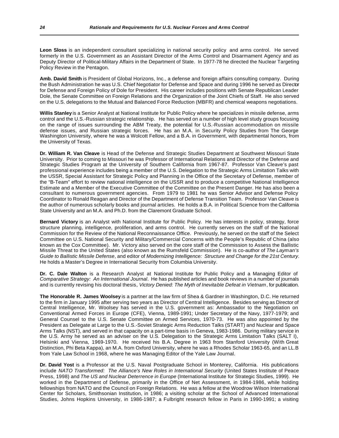**Leon Sloss** is an independent consultant specializing in national security policy and arms control. He served formerly in the U.S. Government as an Assistant Director of the Arms Control and Disarmament Agency and as Deputy Director of Political-Military Affairs in the Department of State. In 1977-78 he directed the Nuclear Targeting Policy Review in the Pentagon.

**Amb. David Smith** is President of Global Horizons, Inc., a defense and foreign affairs consulting company. During the Bush Administration he was U.S. Chief Negotiator for Defense and Space and during 1996 he served as Director for Defense and Foreign Policy of Dole for President. His career includes positions with Senate Republican Leader Dole, the Senate Committee on Foreign Relations and the Organization of the Joint Chiefs of Staff. He also served on the U.S. delegations to the Mutual and Balanced Force Reduction (MBFR) and chemical weapons negotiations.

**Willis Stanley** is a Senior Analyst at National Institute for Public Policy where he specializes in missile defense, arms control and the U.S.-Russian strategic relationship. He has served on a number of high level study groups focusing on the range of issues surrounding the ABM Treaty, the potential for U.S.-Russian accommodation on missile defense issues, and Russian strategic forces. He has an M.A. in Security Policy Studies from The George Washington University, where he was a Wolcott Fellow, and a B.A. in Government, with departmental honors, from the University of Texas.

**Dr. William R. Van Cleave** is Head of the Defense and Strategic Studies Department at Southwest Missouri State University. Prior to coming to Missouri he was Professor of International Relations and Director of the Defense and Strategic Studies Program at the University of Southern California from 1967-87. Professor Van Cleave's past professional experience includes being a member of the U.S. Delegation to the Strategic Arms Limitation Talks with the USSR, Special Assistant for Strategic Policy and Planning in the Office of the Secretary of Defense, member of the "B-Team" effort to review national intelligence on the USSR and to produce a competitive National Intelligence Estimate and a Member of the Executive Committee of the Committee on the Present Danger. He has also been a consultant to numerous government agencies. From 1979 to 1981 he was Senior Advisor and Defense Policy Coordinator to Ronald Reagan and Director of the Department of Defense Transition Team. Professor Van Cleave is the author of numerous scholarly books and journal articles. He holds a B.A. in Political Science from the California State University and an M.A. and Ph.D. from the Claremont Graduate School.

**Bernard Victory** is an Analyst with National Institute for Public Policy. He has interests in policy, strategy, force structure planning, intelligence, proliferation, and arms control. He currently serves on the staff of the National Commission for the Review of the National Reconnaissance Office. Previously, he served on the staff of the Select Committee on U.S. National Security and Military/Commercial Concerns with the People's Republic of China (also known as the Cox Committee). Mr. Victory also served on the core staff of the Commission to Assess the Ballistic Missile Threat to the United States (also known as the Rumsfeld Commission). He is co-author of *The Layman's Guide to Ballistic Missile Defense*, and editor of *Modernizing Intelligence: Structure and Change for the 21st Century*. He holds a Master's Degree in International Security from Columbia University.

**Dr. C. Dale Walton** is a Research Analyst at National Institute for Public Policy and a Managing Editor of *Comparative Strategy: An International Journal*. He has published articles and book reviews in a number of journals and is currently revising his doctoral thesis*, Victory Denied: The Myth of Inevitable Defeat in Vietnam*, for publication.

**The Honorable R. James Woolsey** is a partner at the law firm of Shea & Gardner in Washington, D.C. He returned to the firm in January 1995 after serving two years as Director of Central Intelligence. Besides serving as Director of Central Intelligence, Mr. Woolsey has served in the U.S. government as: Ambassador to the Negotiation on Conventional Armed Forces in Europe (CFE), Vienna, 1989-1991; Under Secretary of the Navy, 1977-1979; and General Counsel to the U.S. Senate Committee on Armed Services, 1970-73. He was also appointed by the President as Delegate at Large to the U.S.-Soviet Strategic Arms Reduction Talks (START) and Nuclear and Space Arms Talks (NST), and served in that capacity on a part-time basis in Geneva, 1983-1986. During military service in the U.S. Army he served as an adviser on the U.S. Delegation to the Strategic Arms Limitation Talks (SALT I), Helsinki and Vienna, 1969-1970. He received his B.A. Degree in 1963 from Stanford University (With Great Distinction, Phi Beta Kappa), an M.A. from Oxford University, where he was a Rhodes Scholar 1963-65, and an LL.B from Yale Law School in 1968, where he was Managing Editor of the Yale Law Journal.

**Dr. David Yost** is a Professor at the U.S. Naval Postgraduate School in Monterey, California. His publications include *NATO Transformed: The Alliance's New Roles in International Security* (United States Institute of Peace Press, 1998) and *The US and Nuclear Deterrence in Europe* (International Institute for Strategic Studies, 1999). He worked in the Department of Defense, primarily in the Office of Net Assessment, in 1984-1986, while holding fellowships from NATO and the Council on Foreign Relations. He was a fellow at the Woodrow Wilson International Center for Scholars, Smithsonian Institution, in 1986; a visiting scholar at the School of Advanced International Studies, Johns Hopkins University, in 1986-1987; a Fulbright research fellow in Paris in 1990-1991; a visiting